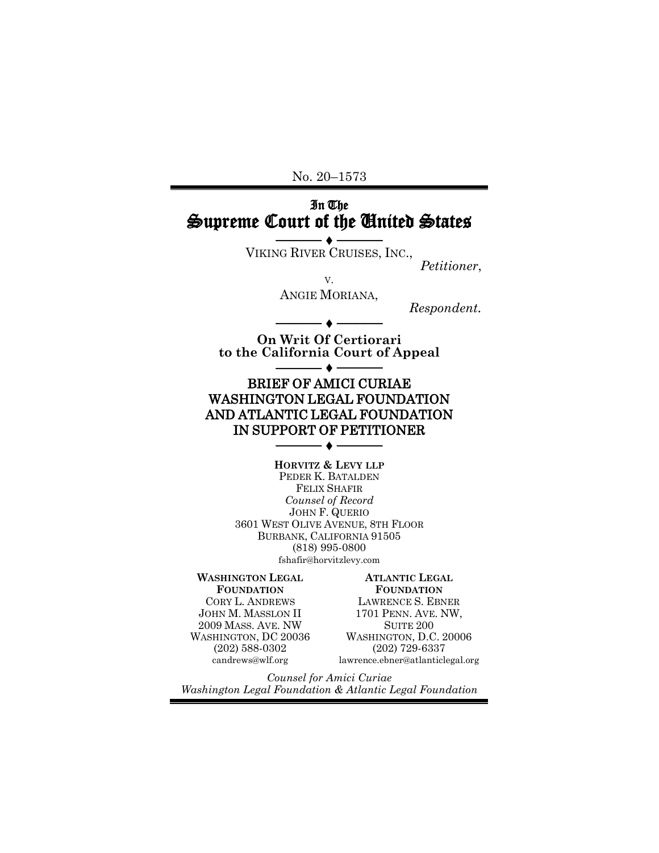No. 20–1573

## In The Supreme Court of the United States

────◆─── VIKING RIVER CRUISES, INC.,

*Petitioner*,

V. ANGIE MORIANA, *Respondent.*

**On Writ Of Certiorari to the California Court of Appeal** ─●

────◆───

## BRIEF OF AMICI CURIAE WASHINGTON LEGAL FOUNDATION AND ATLANTIC LEGAL FOUNDATION IN SUPPORT OF PETITIONER

────◆─── **HORVITZ & LEVY LLP**

PEDER K. BATALDEN FELIX SHAFIR *Counsel of Record* JOHN F. QUERIO 3601 WEST OLIVE AVENUE, 8TH FLOOR BURBANK, CALIFORNIA 91505 (818) 995-0800 fshafir@horvitzlevy.com

#### **WASHINGTON LEGAL FOUNDATION** CORY L. ANDREWS JOHN M. MASSLON II 2009 MASS. AVE. NW WASHINGTON, DC 20036

(202) 588-0302 candrews@wlf.org **ATLANTIC LEGAL** 

**FOUNDATION** LAWRENCE S. EBNER 1701 PENN. AVE. NW, SUITE 200 WASHINGTON, D.C. 20006 (202) 729-6337 lawrence.ebner@atlanticlegal.org

*Counsel for Amici Curiae Washington Legal Foundation & Atlantic Legal Foundation*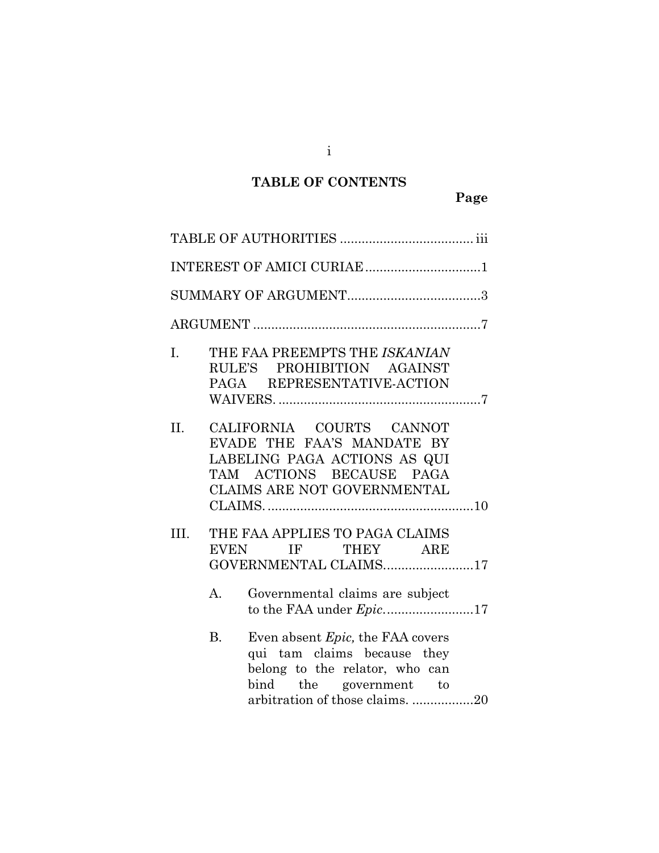## **TABLE OF CONTENTS**

|              | INTEREST OF AMICI CURIAE 1                                                                                                                                                          |  |
|--------------|-------------------------------------------------------------------------------------------------------------------------------------------------------------------------------------|--|
|              |                                                                                                                                                                                     |  |
|              |                                                                                                                                                                                     |  |
| $\mathbf{L}$ | THE FAA PREEMPTS THE ISKANIAN<br>RULE'S PROHIBITION AGAINST<br>PAGA REPRESENTATIVE-ACTION                                                                                           |  |
| II.          | CALIFORNIA COURTS CANNOT<br>EVADE THE FAA'S MANDATE BY<br>LABELING PAGA ACTIONS AS QUI<br>TAM ACTIONS BECAUSE PAGA<br>CLAIMS ARE NOT GOVERNMENTAL                                   |  |
|              |                                                                                                                                                                                     |  |
| III.         | THE FAA APPLIES TO PAGA CLAIMS<br>EVEN IF THEY ARE<br>GOVERNMENTAL CLAIMS17                                                                                                         |  |
|              | $A_{\cdot}$<br>Governmental claims are subject<br>to the FAA under <i>Epic</i> .17                                                                                                  |  |
|              | <b>B.</b><br>Even absent <i>Epic</i> , the FAA covers<br>qui tam claims because they<br>belong to the relator, who can<br>bind the government to<br>arbitration of those claims. 20 |  |

i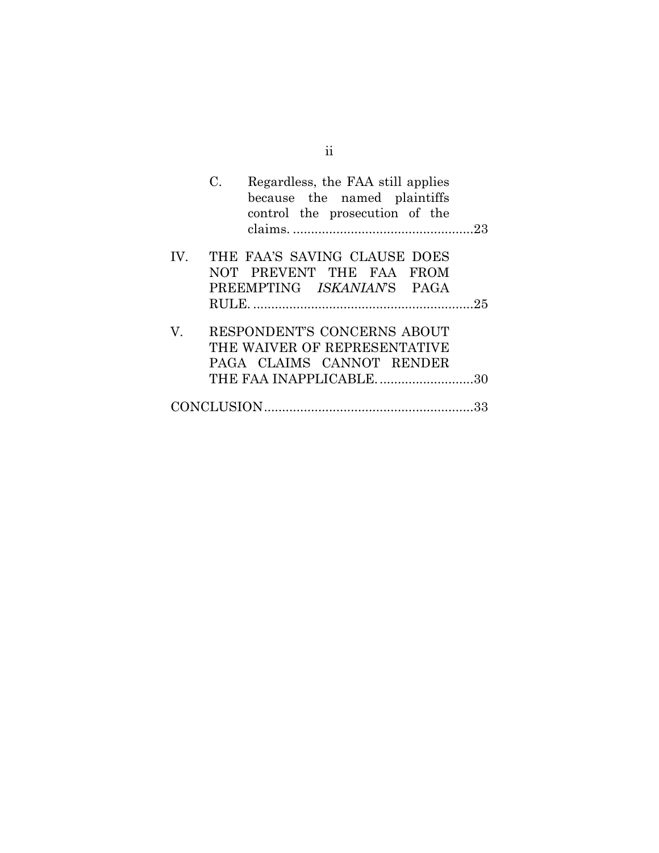|     | $C_{\cdot}$<br>Regardless, the FAA still applies<br>because the named plaintiffs<br>control the prosecution of the |
|-----|--------------------------------------------------------------------------------------------------------------------|
|     | IV. THE FAA'S SAVING CLAUSE DOES<br>NOT PREVENT THE FAA FROM<br>PREEMPTING ISKANIAN'S PAGA                         |
|     |                                                                                                                    |
| V — | RESPONDENT'S CONCERNS ABOUT<br>THE WAIVER OF REPRESENTATIVE<br>PAGA CLAIMS CANNOT RENDER                           |
|     | THE FAA INAPPLICABLE30                                                                                             |
|     |                                                                                                                    |

ii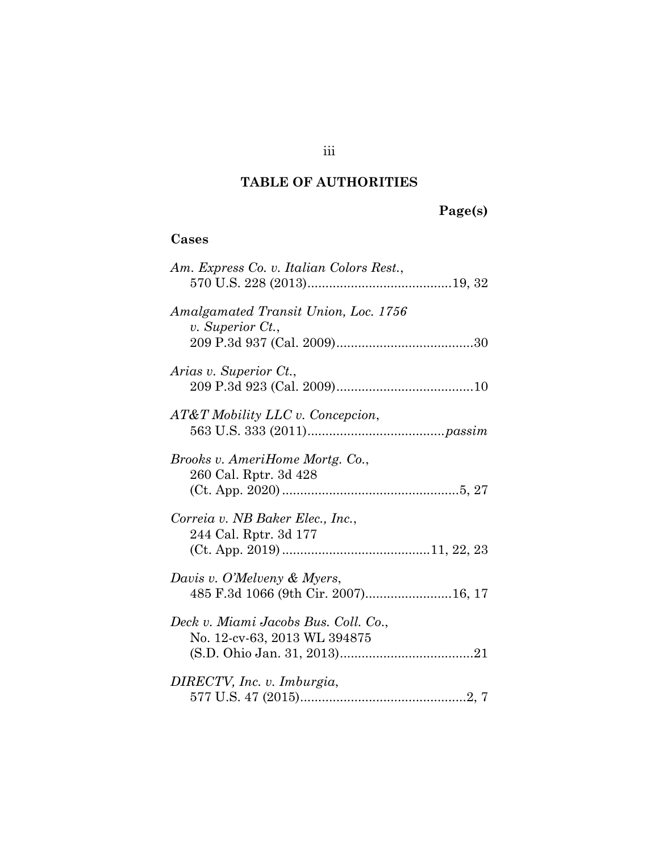## **TABLE OF AUTHORITIES**

# **Page(s)**

## **Cases**

| Am. Express Co. v. Italian Colors Rest.,                             |
|----------------------------------------------------------------------|
| Amalgamated Transit Union, Loc. 1756<br>$v.$ Superior $Ct.$ ,        |
| Arias v. Superior Ct.,                                               |
| AT&T Mobility LLC v. Concepcion,                                     |
| Brooks v. AmeriHome Mortg. Co.,<br>260 Cal. Rptr. 3d 428             |
| Correia v. NB Baker Elec., Inc.,<br>244 Cal. Rptr. 3d 177            |
| Davis v. O'Melveny & Myers,<br>485 F.3d 1066 (9th Cir. 2007)16, 17   |
| Deck v. Miami Jacobs Bus. Coll. Co.,<br>No. 12-cv-63, 2013 WL 394875 |
| DIRECTV, Inc. v. Imburgia,                                           |

iii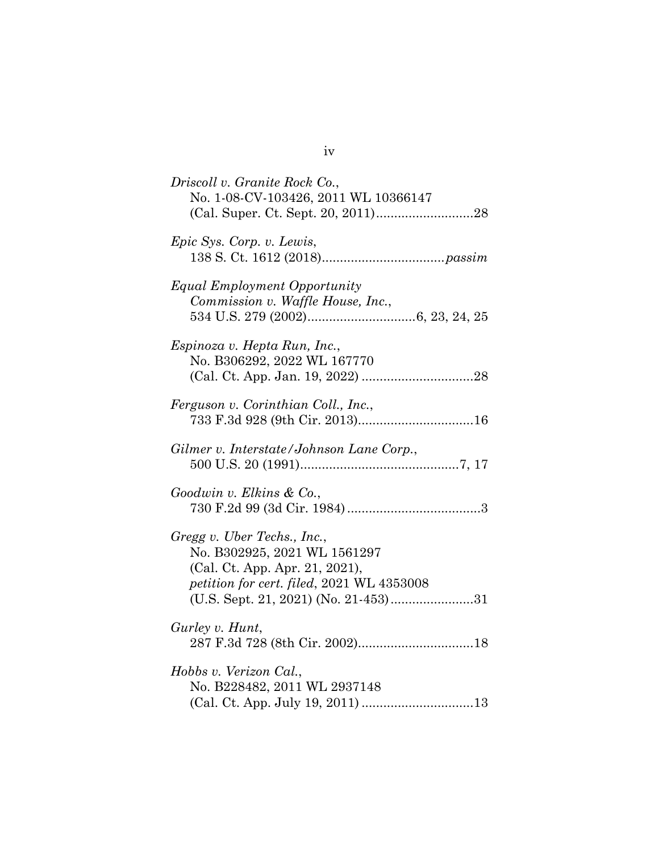| Driscoll v. Granite Rock Co.,<br>No. 1-08-CV-103426, 2011 WL 10366147                                                                      |
|--------------------------------------------------------------------------------------------------------------------------------------------|
| Epic Sys. Corp. v. Lewis,                                                                                                                  |
| Equal Employment Opportunity<br>Commission v. Waffle House, Inc.,                                                                          |
| Espinoza v. Hepta Run, Inc.,<br>No. B306292, 2022 WL 167770                                                                                |
| Ferguson v. Corinthian Coll., Inc.,                                                                                                        |
| Gilmer v. Interstate/Johnson Lane Corp.,                                                                                                   |
| Goodwin v. Elkins & Co.,                                                                                                                   |
| Gregg v. Uber Techs., Inc.,<br>No. B302925, 2021 WL 1561297<br>(Cal. Ct. App. Apr. 21, 2021),<br>petition for cert. filed, 2021 WL 4353008 |
| Gurley v. Hunt,                                                                                                                            |
| Hobbs v. Verizon Cal.,<br>No. B228482, 2011 WL 2937148                                                                                     |

iv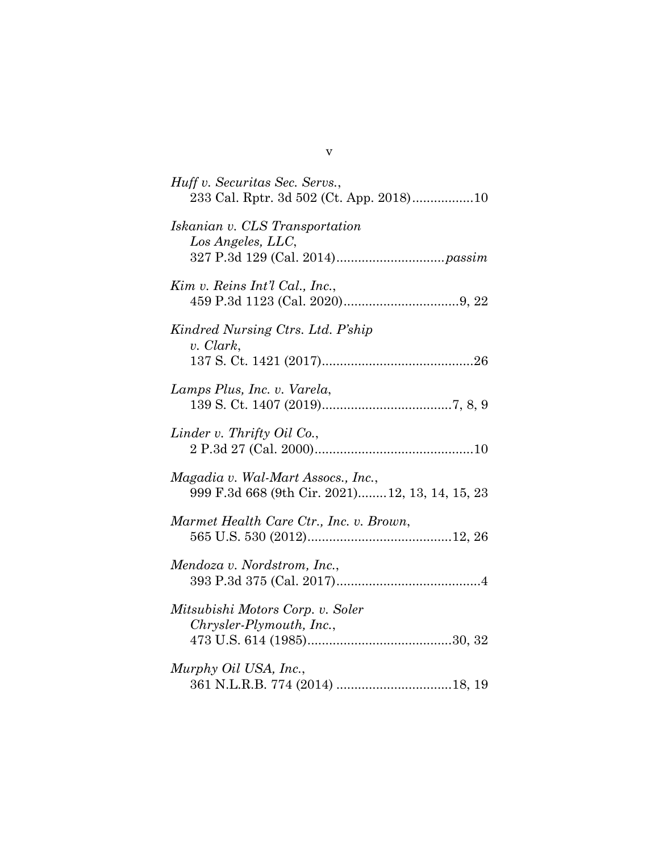| Huff v. Securitas Sec. Servs.,<br>233 Cal. Rptr. 3d 502 (Ct. App. 2018)10            |
|--------------------------------------------------------------------------------------|
| Iskanian v. CLS Transportation<br>Los Angeles, LLC,                                  |
| Kim v. Reins Int'l Cal., Inc.,                                                       |
| Kindred Nursing Ctrs. Ltd. P'ship<br>v. Clark,                                       |
| Lamps Plus, Inc. v. Varela,                                                          |
| Linder v. Thrifty Oil Co.,                                                           |
| Magadia v. Wal-Mart Assocs., Inc.,<br>999 F.3d 668 (9th Cir. 2021)12, 13, 14, 15, 23 |
| Marmet Health Care Ctr., Inc. v. Brown,                                              |
| Mendoza v. Nordstrom, Inc.,                                                          |
| Mitsubishi Motors Corp. v. Soler<br>Chrysler-Plymouth, Inc.,                         |
| Murphy Oil USA, Inc.,                                                                |

v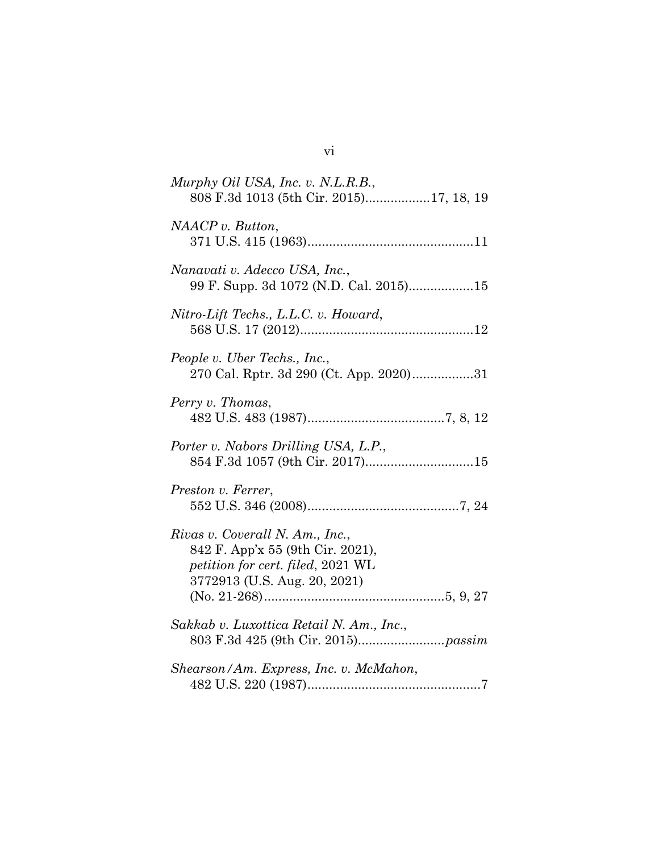| Murphy Oil USA, Inc. v. N.L.R.B.,<br>808 F.3d 1013 (5th Cir. 2015)17, 18, 19                                                             |
|------------------------------------------------------------------------------------------------------------------------------------------|
| NAACP v. Button,                                                                                                                         |
| Nanavati v. Adecco USA, Inc.,<br>99 F. Supp. 3d 1072 (N.D. Cal. 2015)15                                                                  |
| Nitro-Lift Techs., L.L.C. v. Howard,                                                                                                     |
| People v. Uber Techs., Inc.,<br>270 Cal. Rptr. 3d 290 (Ct. App. 2020)31                                                                  |
| Perry v. Thomas,                                                                                                                         |
| Porter v. Nabors Drilling USA, L.P.,                                                                                                     |
| Preston v. Ferrer,                                                                                                                       |
| Rivas v. Coverall N. Am., Inc.,<br>842 F. App'x 55 (9th Cir. 2021),<br>petition for cert. filed, 2021 WL<br>3772913 (U.S. Aug. 20, 2021) |
| Sakkab v. Luxottica Retail N. Am., Inc.,                                                                                                 |
| Shearson/Am. Express, Inc. v. McMahon,                                                                                                   |

vi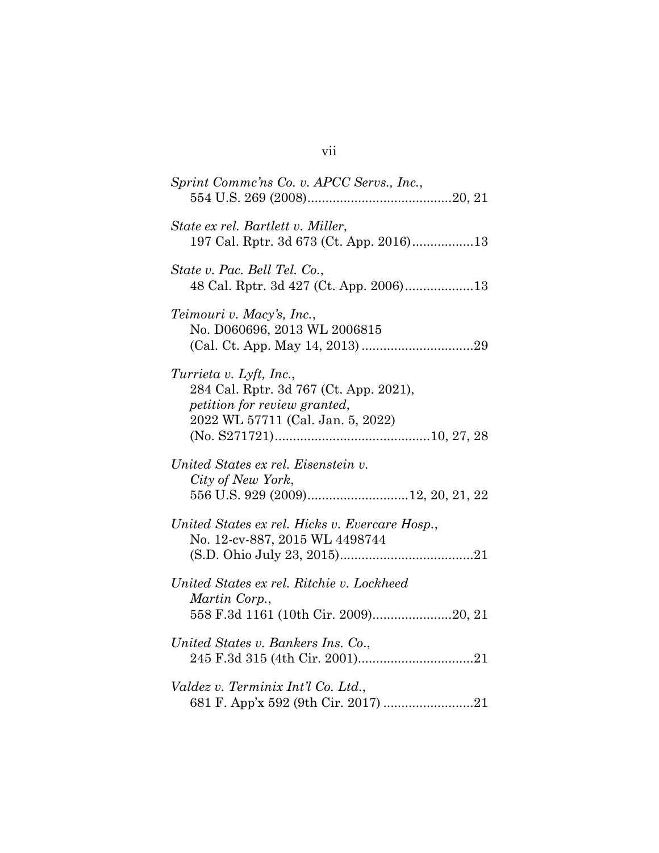| Sprint Comme'ns Co. v. APCC Servs., Inc.,                                                                                              |
|----------------------------------------------------------------------------------------------------------------------------------------|
| State ex rel. Bartlett v. Miller,<br>197 Cal. Rptr. 3d 673 (Ct. App. 2016)13                                                           |
| State v. Pac. Bell Tel. Co.,                                                                                                           |
| Teimouri v. Macy's, Inc.,<br>No. D060696, 2013 WL 2006815                                                                              |
| Turrieta v. Lyft, Inc.,<br>284 Cal. Rptr. 3d 767 (Ct. App. 2021),<br>petition for review granted,<br>2022 WL 57711 (Cal. Jan. 5, 2022) |
| United States ex rel. Eisenstein v.<br>City of New York,<br>556 U.S. 929 (2009)12, 20, 21, 22                                          |
| United States ex rel. Hicks v. Evercare Hosp.,<br>No. 12-cv-887, 2015 WL 4498744                                                       |
| United States ex rel. Ritchie v. Lockheed<br>Martin Corp.,<br>558 F.3d 1161 (10th Cir. 2009)20, 21                                     |
| United States v. Bankers Ins. Co.,                                                                                                     |
| Valdez v. Terminix Int'l Co. Ltd.,<br>681 F. App'x 592 (9th Cir. 2017) 21                                                              |

## vii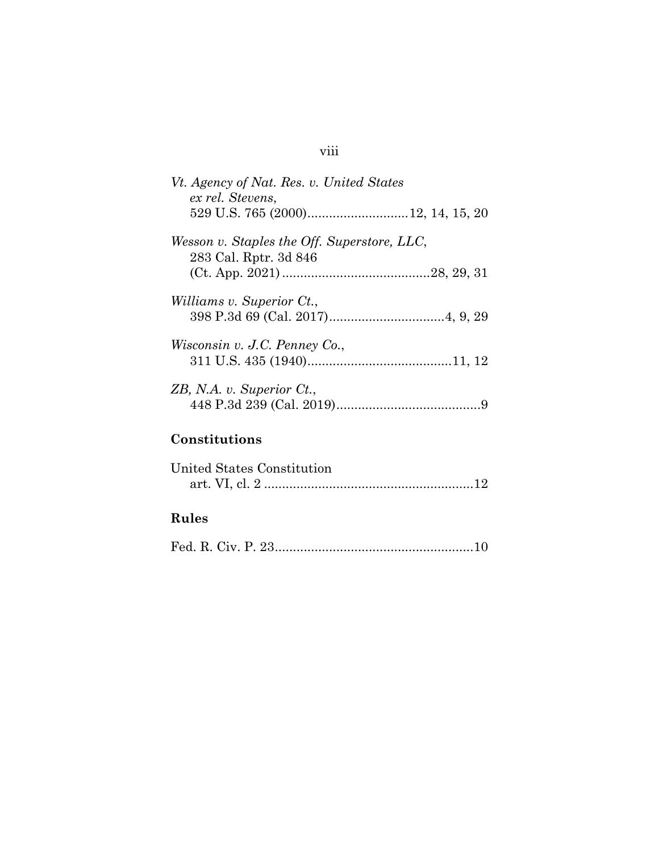## viii

| Vt. Agency of Nat. Res. v. United States<br>ex rel. Stevens, |
|--------------------------------------------------------------|
|                                                              |
| Wesson v. Staples the Off. Superstore, LLC,                  |
| 283 Cal. Rptr. 3d 846                                        |
|                                                              |
| <i>Williams v. Superior Ct.,</i>                             |
|                                                              |
| Wisconsin v. J.C. Penney Co.,                                |
|                                                              |
| ZB, N.A. v. Superior Ct.,                                    |
|                                                              |
| Constitutions                                                |
|                                                              |
| United States Constitution                                   |
|                                                              |
|                                                              |

# **Rules**

|--|--|--|--|--|--|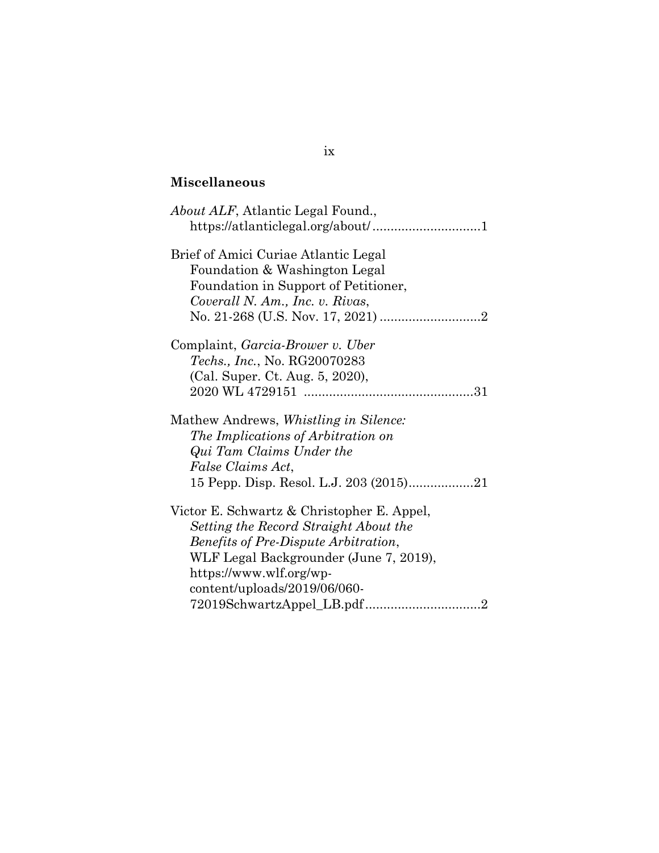## **Miscellaneous**

| <i>About ALF</i> , Atlantic Legal Found.,     |
|-----------------------------------------------|
| Brief of Amici Curiae Atlantic Legal          |
| Foundation & Washington Legal                 |
| Foundation in Support of Petitioner,          |
| Coverall N. Am., Inc. v. Rivas,               |
|                                               |
| Complaint, Garcia-Brower v. Uber              |
| <i>Techs., Inc., No. RG20070283</i>           |
| (Cal. Super. Ct. Aug. 5, 2020),               |
|                                               |
| Mathew Andrews, <i>Whistling in Silence</i> : |
| The Implications of Arbitration on            |
| Qui Tam Claims Under the                      |
| False Claims Act,                             |
| 15 Pepp. Disp. Resol. L.J. 203 (2015)21       |
| Victor E. Schwartz & Christopher E. Appel,    |
| Setting the Record Straight About the         |
| <i>Benefits of Pre-Dispute Arbitration,</i>   |
| WLF Legal Backgrounder (June 7, 2019),        |
| https://www.wlf.org/wp-                       |
| content/uploads/2019/06/060-                  |
| $\overline{2}$                                |

## ix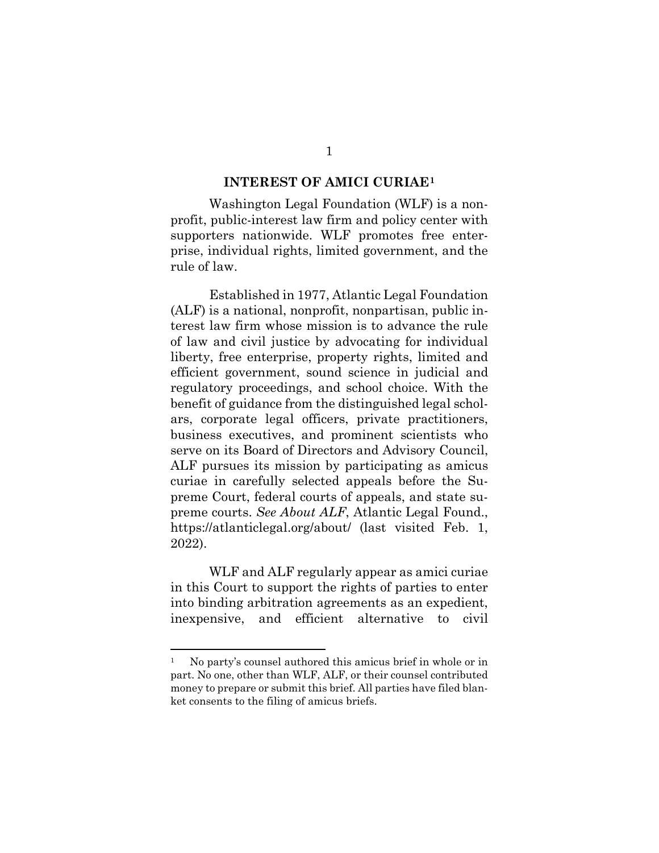#### **INTEREST OF AMICI CURIAE[1](#page-10-1)**

Washington Legal Foundation (WLF) is a nonprofit, public-interest law firm and policy center with supporters nationwide. WLF promotes free enterprise, individual rights, limited government, and the rule of law.

Established in 1977, Atlantic Legal Foundation (ALF) is a national, nonprofit, nonpartisan, public interest law firm whose mission is to advance the rule of law and civil justice by advocating for individual liberty, free enterprise, property rights, limited and efficient government, sound science in judicial and regulatory proceedings, and school choice. With the benefit of guidance from the distinguished legal scholars, corporate legal officers, private practitioners, business executives, and prominent scientists who serve on its Board of Directors and Advisory Council, ALF pursues its mission by participating as amicus curiae in carefully selected appeals before the Supreme Court, federal courts of appeals, and state supreme courts. *See About ALF*, Atlantic Legal Found., https://atlanticlegal.org/about/ (last visited Feb. 1, 2022).

<span id="page-10-0"></span>WLF and ALF regularly appear as amici curiae in this Court to support the rights of parties to enter into binding arbitration agreements as an expedient, inexpensive, and efficient alternative to civil

<span id="page-10-1"></span><sup>1</sup> No party's counsel authored this amicus brief in whole or in part. No one, other than WLF, ALF, or their counsel contributed money to prepare or submit this brief. All parties have filed blanket consents to the filing of amicus briefs.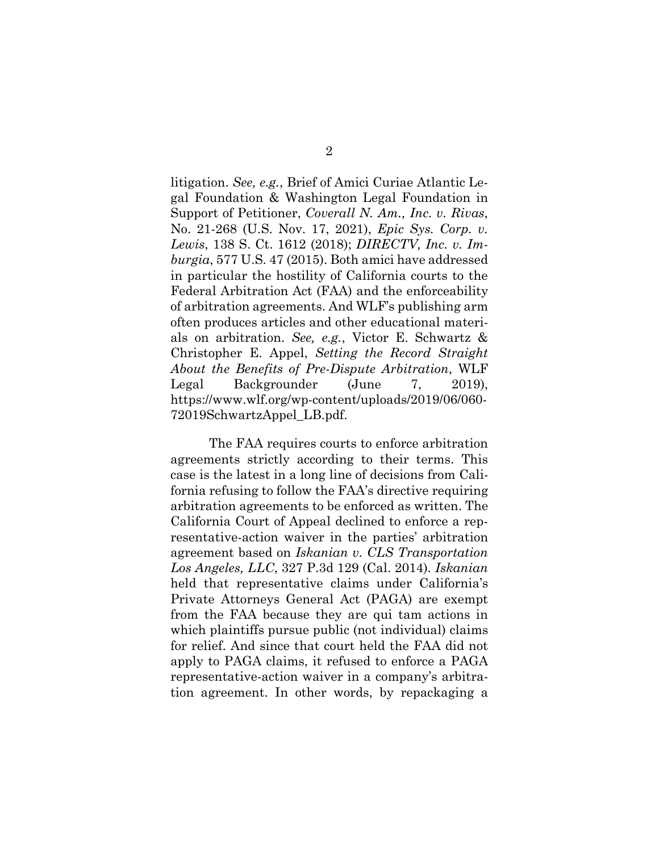<span id="page-11-1"></span><span id="page-11-0"></span>litigation. *See, e.g.*, Brief of Amici Curiae Atlantic Legal Foundation & Washington Legal Foundation in Support of Petitioner, *Coverall N. Am., Inc. v. Rivas*, No. 21-268 (U.S. Nov. 17, 2021), *Epic Sys. Corp. v. Lewis*, 138 S. Ct. 1612 (2018); *DIRECTV, Inc. v. Imburgia*, 577 U.S. 47 (2015). Both amici have addressed in particular the hostility of California courts to the Federal Arbitration Act (FAA) and the enforceability of arbitration agreements. And WLF's publishing arm often produces articles and other educational materials on arbitration. *See, e.g.*, Victor E. Schwartz & Christopher E. Appel, *Setting the Record Straight About the Benefits of Pre-Dispute Arbitration*, WLF Legal Backgrounder (June 7, 2019), https://www.wlf.org/wp-content/uploads/2019/06/060- 72019SchwartzAppel\_LB.pdf.

<span id="page-11-3"></span><span id="page-11-2"></span>The FAA requires courts to enforce arbitration agreements strictly according to their terms. This case is the latest in a long line of decisions from California refusing to follow the FAA's directive requiring arbitration agreements to be enforced as written. The California Court of Appeal declined to enforce a representative-action waiver in the parties' arbitration agreement based on *Iskanian v. CLS Transportation Los Angeles, LLC*, 327 P.3d 129 (Cal. 2014). *Iskanian* held that representative claims under California's Private Attorneys General Act (PAGA) are exempt from the FAA because they are qui tam actions in which plaintiffs pursue public (not individual) claims for relief. And since that court held the FAA did not apply to PAGA claims, it refused to enforce a PAGA representative-action waiver in a company's arbitration agreement. In other words, by repackaging a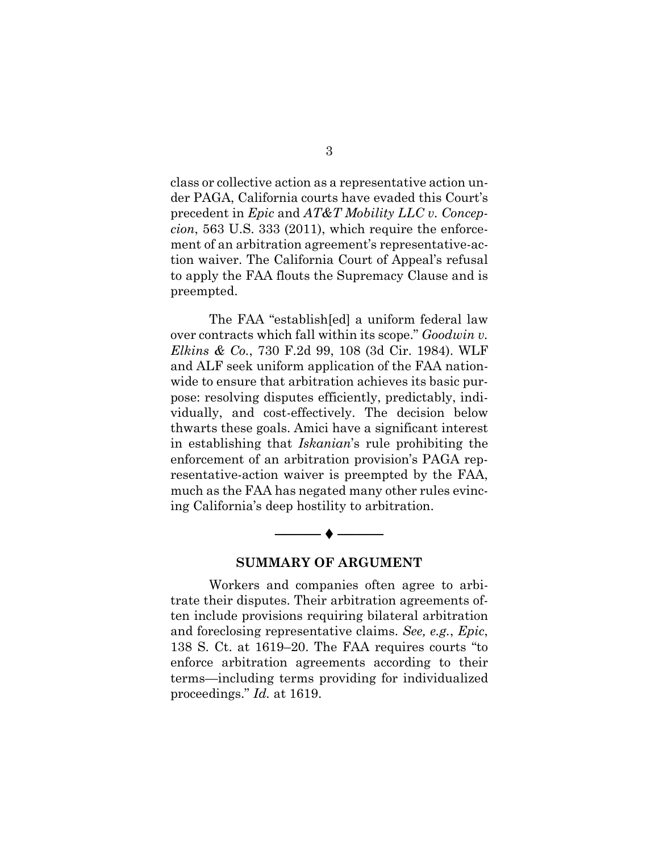<span id="page-12-0"></span>class or collective action as a representative action under PAGA, California courts have evaded this Court's precedent in *Epic* and *AT&T Mobility LLC v. Concepcion*, 563 U.S. 333 (2011), which require the enforcement of an arbitration agreement's representative-action waiver. The California Court of Appeal's refusal to apply the FAA flouts the Supremacy Clause and is preempted.

The FAA "establish[ed] a uniform federal law over contracts which fall within its scope." *Goodwin v. Elkins & Co.*, 730 F.2d 99, 108 (3d Cir. 1984). WLF and ALF seek uniform application of the FAA nationwide to ensure that arbitration achieves its basic purpose: resolving disputes efficiently, predictably, individually, and cost-effectively. The decision below thwarts these goals. Amici have a significant interest in establishing that *Iskanian*'s rule prohibiting the enforcement of an arbitration provision's PAGA representative-action waiver is preempted by the FAA, much as the FAA has negated many other rules evincing California's deep hostility to arbitration.

<span id="page-12-1"></span>

### **SUMMARY OF ARGUMENT**

Workers and companies often agree to arbitrate their disputes. Their arbitration agreements often include provisions requiring bilateral arbitration and foreclosing representative claims. *See, e.g.*, *Epic*, 138 S. Ct. at 1619–20. The FAA requires courts "to enforce arbitration agreements according to their terms—including terms providing for individualized proceedings." *Id.* at 1619.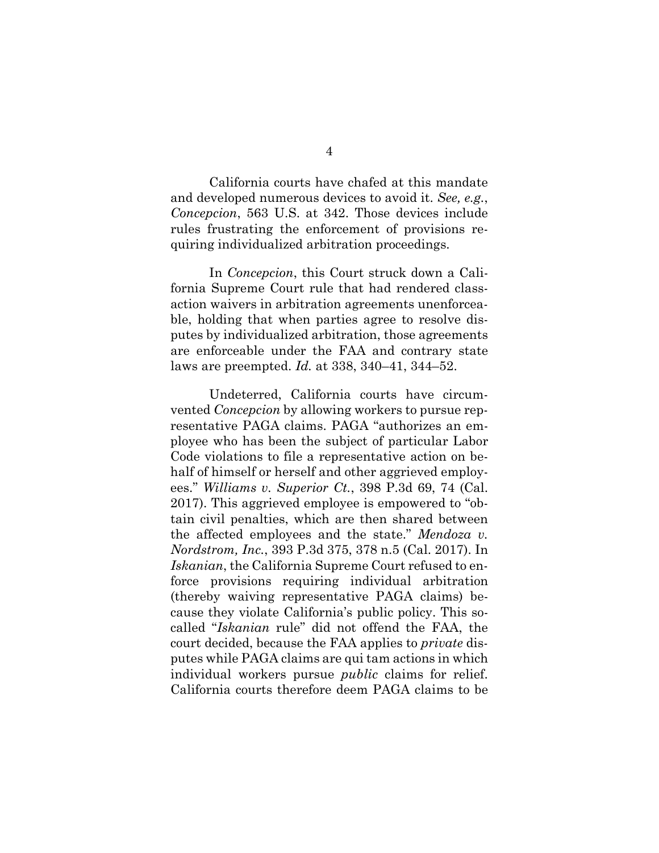California courts have chafed at this mandate and developed numerous devices to avoid it. *See, e.g.*, *Concepcion*, 563 U.S. at 342. Those devices include rules frustrating the enforcement of provisions requiring individualized arbitration proceedings.

In *Concepcion*, this Court struck down a California Supreme Court rule that had rendered classaction waivers in arbitration agreements unenforceable, holding that when parties agree to resolve disputes by individualized arbitration, those agreements are enforceable under the FAA and contrary state laws are preempted. *Id.* at 338, 340–41, 344–52.

<span id="page-13-1"></span><span id="page-13-0"></span>Undeterred, California courts have circumvented *Concepcion* by allowing workers to pursue representative PAGA claims. PAGA "authorizes an employee who has been the subject of particular Labor Code violations to file a representative action on behalf of himself or herself and other aggrieved employees." *Williams v. Superior Ct.*, 398 P.3d 69, 74 (Cal. 2017). This aggrieved employee is empowered to "obtain civil penalties, which are then shared between the affected employees and the state." *Mendoza v. Nordstrom, Inc.*, 393 P.3d 375, 378 n.5 (Cal. 2017). In *Iskanian*, the California Supreme Court refused to enforce provisions requiring individual arbitration (thereby waiving representative PAGA claims) because they violate California's public policy. This socalled "*Iskanian* rule" did not offend the FAA, the court decided, because the FAA applies to *private* disputes while PAGA claims are qui tam actions in which individual workers pursue *public* claims for relief. California courts therefore deem PAGA claims to be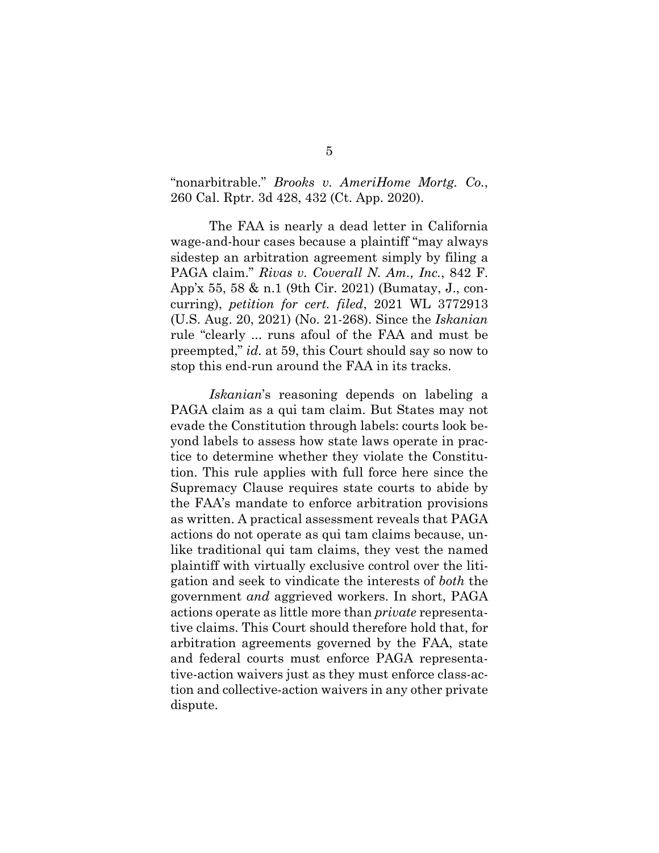<span id="page-14-0"></span>"nonarbitrable." *Brooks v. AmeriHome Mortg. Co.*, 260 Cal. Rptr. 3d 428, 432 (Ct. App. 2020).

<span id="page-14-1"></span>The FAA is nearly a dead letter in California wage-and-hour cases because a plaintiff "may always sidestep an arbitration agreement simply by filing a PAGA claim." *Rivas v. Coverall N. Am., Inc.*, 842 F. App'x 55, 58 & n.1 (9th Cir. 2021) (Bumatay, J., concurring), *petition for cert. filed*, 2021 WL 3772913 (U.S. Aug. 20, 2021) (No. 21-268). Since the *Iskanian* rule "clearly ... runs afoul of the FAA and must be preempted," *id.* at 59, this Court should say so now to stop this end-run around the FAA in its tracks.

*Iskanian*'s reasoning depends on labeling a PAGA claim as a qui tam claim. But States may not evade the Constitution through labels: courts look beyond labels to assess how state laws operate in practice to determine whether they violate the Constitution. This rule applies with full force here since the Supremacy Clause requires state courts to abide by the FAA's mandate to enforce arbitration provisions as written. A practical assessment reveals that PAGA actions do not operate as qui tam claims because, unlike traditional qui tam claims, they vest the named plaintiff with virtually exclusive control over the litigation and seek to vindicate the interests of *both* the government *and* aggrieved workers. In short, PAGA actions operate as little more than *private* representative claims. This Court should therefore hold that, for arbitration agreements governed by the FAA, state and federal courts must enforce PAGA representative-action waivers just as they must enforce class-action and collective-action waivers in any other private dispute.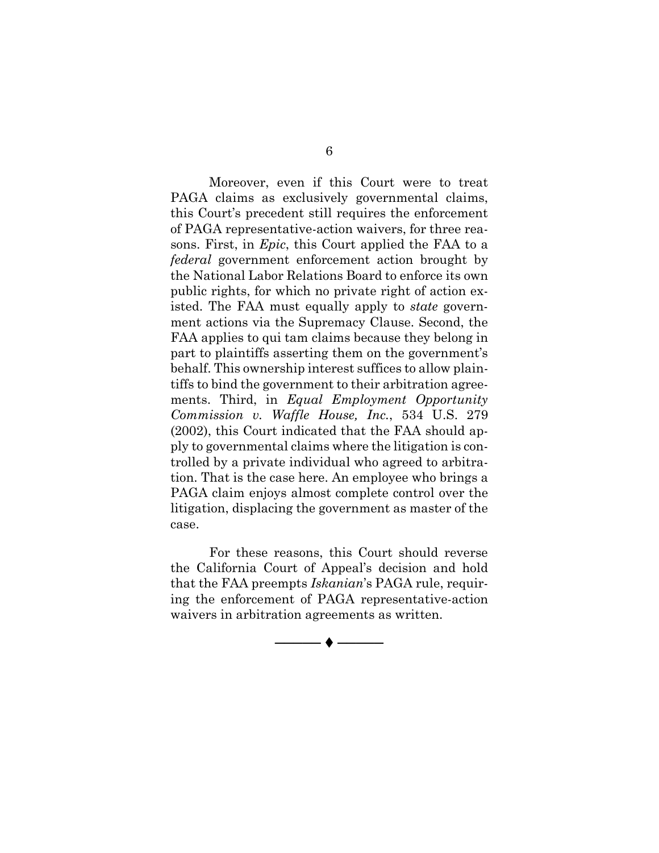Moreover, even if this Court were to treat PAGA claims as exclusively governmental claims, this Court's precedent still requires the enforcement of PAGA representative-action waivers, for three reasons. First, in *Epic*, this Court applied the FAA to a *federal* government enforcement action brought by the National Labor Relations Board to enforce its own public rights, for which no private right of action existed. The FAA must equally apply to *state* government actions via the Supremacy Clause. Second, the FAA applies to qui tam claims because they belong in part to plaintiffs asserting them on the government's behalf. This ownership interest suffices to allow plaintiffs to bind the government to their arbitration agreements. Third, in *Equal Employment Opportunity Commission v. Waffle House, Inc.*, 534 U.S. 279 (2002), this Court indicated that the FAA should apply to governmental claims where the litigation is controlled by a private individual who agreed to arbitration. That is the case here. An employee who brings a PAGA claim enjoys almost complete control over the litigation, displacing the government as master of the case.

<span id="page-15-0"></span>For these reasons, this Court should reverse the California Court of Appeal's decision and hold that the FAA preempts *Iskanian*'s PAGA rule, requiring the enforcement of PAGA representative-action waivers in arbitration agreements as written.

────◆───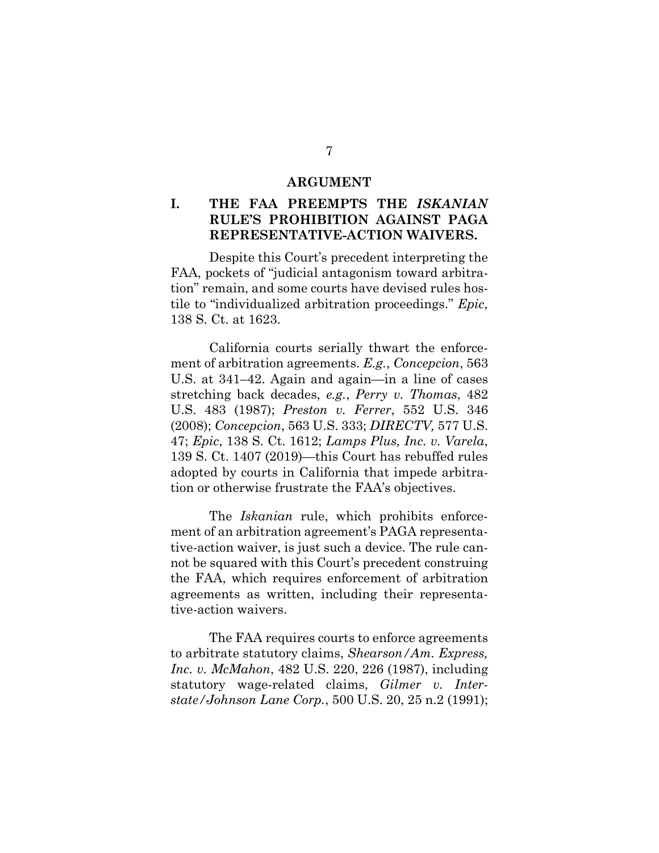#### **ARGUMENT**

## **I. THE FAA PREEMPTS THE** *ISKANIAN* **RULE'S PROHIBITION AGAINST PAGA REPRESENTATIVE-ACTION WAIVERS.**

Despite this Court's precedent interpreting the FAA, pockets of "judicial antagonism toward arbitration" remain, and some courts have devised rules hostile to "individualized arbitration proceedings." *Epic*, 138 S. Ct. at 1623.

<span id="page-16-4"></span><span id="page-16-3"></span><span id="page-16-0"></span>California courts serially thwart the enforcement of arbitration agreements. *E.g.*, *Concepcion*, 563 U.S. at 341–42. Again and again—in a line of cases stretching back decades, *e.g.*, *Perry v. Thomas*, 482 U.S. 483 (1987); *Preston v. Ferrer*, 552 U.S. 346 (2008); *Concepcion*, 563 U.S. 333; *DIRECTV,* 577 U.S. 47; *Epic*, 138 S. Ct. 1612; *Lamps Plus, Inc. v. Varela*, 139 S. Ct. 1407 (2019)—this Court has rebuffed rules adopted by courts in California that impede arbitration or otherwise frustrate the FAA's objectives.

<span id="page-16-2"></span>The *Iskanian* rule, which prohibits enforcement of an arbitration agreement's PAGA representative-action waiver, is just such a device. The rule cannot be squared with this Court's precedent construing the FAA, which requires enforcement of arbitration agreements as written, including their representative-action waivers.

<span id="page-16-5"></span><span id="page-16-1"></span>The FAA requires courts to enforce agreements to arbitrate statutory claims, *Shearson/Am. Express, Inc. v. McMahon*, 482 U.S. 220, 226 (1987), including statutory wage-related claims, *Gilmer v. Interstate/Johnson Lane Corp.*, 500 U.S. 20, 25 n.2 (1991);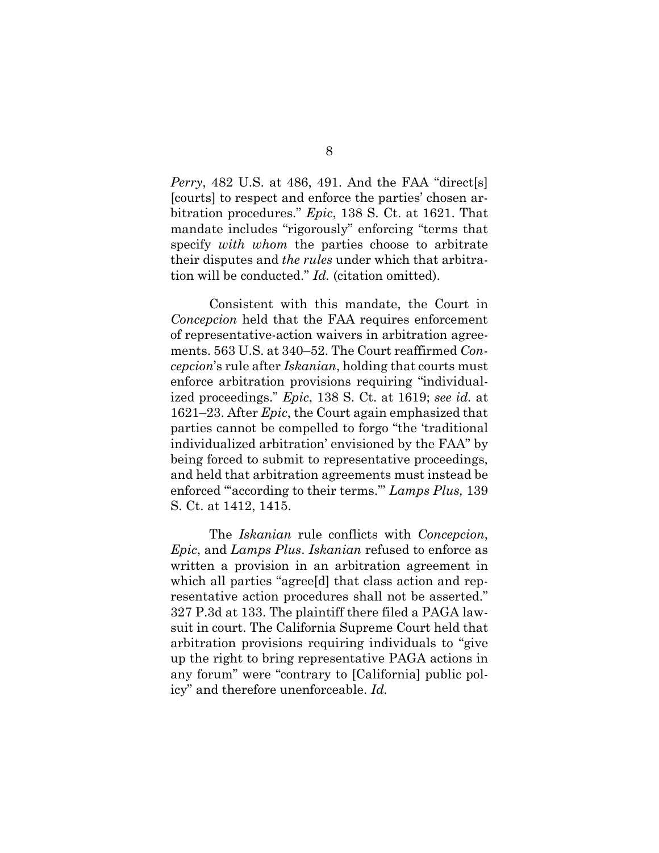<span id="page-17-1"></span>*Perry*, 482 U.S. at 486, 491. And the FAA "direct[s] [courts] to respect and enforce the parties' chosen arbitration procedures." *Epic*, 138 S. Ct. at 1621. That mandate includes "rigorously" enforcing "terms that specify *with whom* the parties choose to arbitrate their disputes and *the rules* under which that arbitration will be conducted." *Id.* (citation omitted).

Consistent with this mandate, the Court in *Concepcion* held that the FAA requires enforcement of representative-action waivers in arbitration agreements. 563 U.S. at 340–52. The Court reaffirmed *Concepcion*'s rule after *Iskanian*, holding that courts must enforce arbitration provisions requiring "individualized proceedings." *Epic*, 138 S. Ct. at 1619; *see id.* at 1621–23. After *Epic*, the Court again emphasized that parties cannot be compelled to forgo "the 'traditional individualized arbitration' envisioned by the FAA" by being forced to submit to representative proceedings, and held that arbitration agreements must instead be enforced "'according to their terms.'" *Lamps Plus,* 139 S. Ct. at 1412, 1415.

<span id="page-17-0"></span>The *Iskanian* rule conflicts with *Concepcion*, *Epic*, and *Lamps Plus*. *Iskanian* refused to enforce as written a provision in an arbitration agreement in which all parties "agree[d] that class action and representative action procedures shall not be asserted." 327 P.3d at 133. The plaintiff there filed a PAGA lawsuit in court. The California Supreme Court held that arbitration provisions requiring individuals to "give up the right to bring representative PAGA actions in any forum" were "contrary to [California] public policy" and therefore unenforceable. *Id.*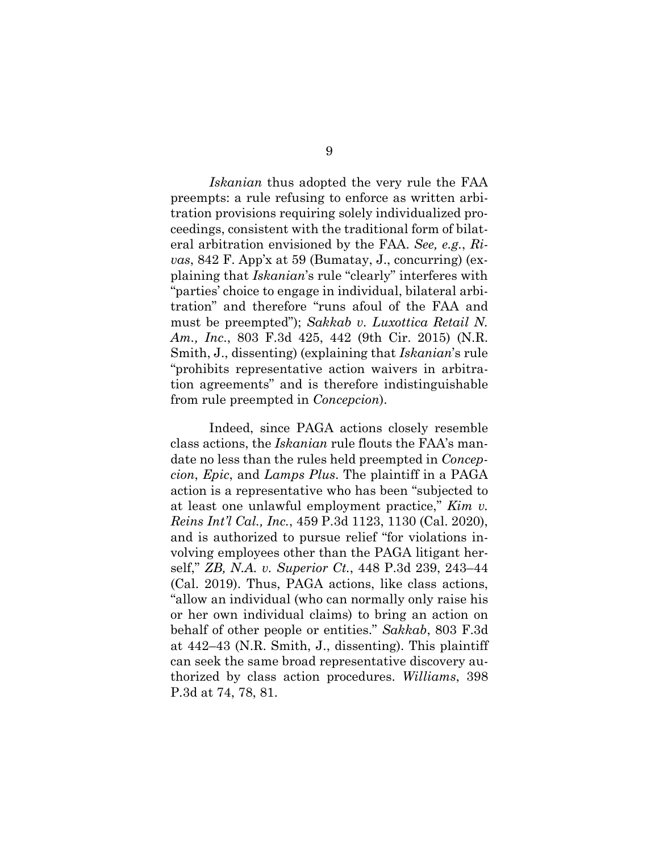<span id="page-18-2"></span>*Iskanian* thus adopted the very rule the FAA preempts: a rule refusing to enforce as written arbitration provisions requiring solely individualized proceedings, consistent with the traditional form of bilateral arbitration envisioned by the FAA. *See, e.g.*, *Rivas*, 842 F. App'x at 59 (Bumatay, J., concurring) (explaining that *Iskanian*'s rule "clearly" interferes with "parties' choice to engage in individual, bilateral arbitration" and therefore "runs afoul of the FAA and must be preempted"); *Sakkab v. Luxottica Retail N. Am., Inc*., 803 F.3d 425, 442 (9th Cir. 2015) (N.R. Smith, J., dissenting) (explaining that *Iskanian*'s rule "prohibits representative action waivers in arbitration agreements" and is therefore indistinguishable from rule preempted in *Concepcion*).

<span id="page-18-5"></span><span id="page-18-4"></span><span id="page-18-3"></span><span id="page-18-1"></span><span id="page-18-0"></span>Indeed, since PAGA actions closely resemble class actions, the *Iskanian* rule flouts the FAA's mandate no less than the rules held preempted in *Concepcion*, *Epic*, and *Lamps Plus*. The plaintiff in a PAGA action is a representative who has been "subjected to at least one unlawful employment practice," *Kim v. Reins Int'l Cal., Inc.*, 459 P.3d 1123, 1130 (Cal. 2020), and is authorized to pursue relief "for violations involving employees other than the PAGA litigant herself," *ZB, N.A. v. Superior Ct.*, 448 P.3d 239, 243–44 (Cal. 2019). Thus, PAGA actions, like class actions, "allow an individual (who can normally only raise his or her own individual claims) to bring an action on behalf of other people or entities." *Sakkab*, 803 F.3d at 442–43 (N.R. Smith, J., dissenting). This plaintiff can seek the same broad representative discovery authorized by class action procedures. *Williams*, 398 P.3d at 74, 78, 81.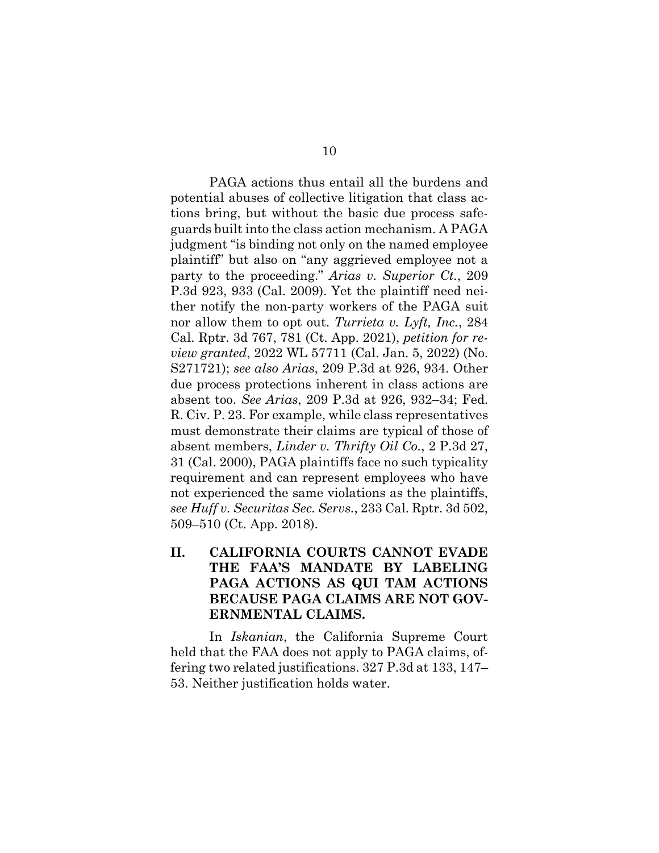<span id="page-19-3"></span><span id="page-19-0"></span>PAGA actions thus entail all the burdens and potential abuses of collective litigation that class actions bring, but without the basic due process safeguards built into the class action mechanism. A PAGA judgment "is binding not only on the named employee plaintiff" but also on "any aggrieved employee not a party to the proceeding." *Arias v. Superior Ct.*, 209 P.3d 923, 933 (Cal. 2009). Yet the plaintiff need neither notify the non-party workers of the PAGA suit nor allow them to opt out. *Turrieta v. Lyft, Inc.*, 284 Cal. Rptr. 3d 767, 781 (Ct. App. 2021), *petition for review granted*, 2022 WL 57711 (Cal. Jan. 5, 2022) (No. S271721); *see also Arias*, 209 P.3d at 926, 934. Other due process protections inherent in class actions are absent too. *See Arias*, 209 P.3d at 926, 932–34; Fed. R. Civ. P. 23. For example, while class representatives must demonstrate their claims are typical of those of absent members, *Linder v. Thrifty Oil Co.*, 2 P.3d 27, 31 (Cal. 2000), PAGA plaintiffs face no such typicality requirement and can represent employees who have not experienced the same violations as the plaintiffs, *see Huff v. Securitas Sec. Servs.*, 233 Cal. Rptr. 3d 502, 509–510 (Ct. App. 2018).

## <span id="page-19-4"></span><span id="page-19-2"></span><span id="page-19-1"></span>**II. CALIFORNIA COURTS CANNOT EVADE THE FAA'S MANDATE BY LABELING PAGA ACTIONS AS QUI TAM ACTIONS BECAUSE PAGA CLAIMS ARE NOT GOV-ERNMENTAL CLAIMS.**

In *Iskanian*, the California Supreme Court held that the FAA does not apply to PAGA claims, offering two related justifications. 327 P.3d at 133, 147– 53. Neither justification holds water.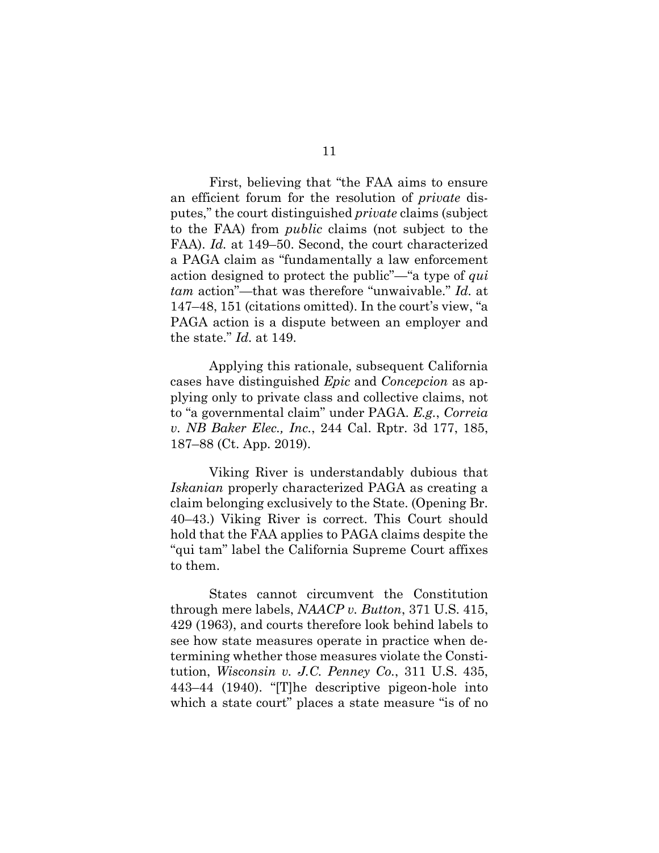First, believing that "the FAA aims to ensure an efficient forum for the resolution of *private* disputes," the court distinguished *private* claims (subject to the FAA) from *public* claims (not subject to the FAA). *Id.* at 149–50. Second, the court characterized a PAGA claim as "fundamentally a law enforcement action designed to protect the public"—"a type of *qui tam* action"—that was therefore "unwaivable." *Id.* at 147–48, 151 (citations omitted). In the court's view, "a PAGA action is a dispute between an employer and the state." *Id.* at 149.

<span id="page-20-0"></span>Applying this rationale, subsequent California cases have distinguished *Epic* and *Concepcion* as applying only to private class and collective claims, not to "a governmental claim" under PAGA. *E.g.*, *Correia v. NB Baker Elec., Inc.*, 244 Cal. Rptr. 3d 177, 185, 187–88 (Ct. App. 2019).

Viking River is understandably dubious that *Iskanian* properly characterized PAGA as creating a claim belonging exclusively to the State. (Opening Br. 40–43.) Viking River is correct. This Court should hold that the FAA applies to PAGA claims despite the "qui tam" label the California Supreme Court affixes to them.

<span id="page-20-2"></span><span id="page-20-1"></span>States cannot circumvent the Constitution through mere labels, *NAACP v. Button*, 371 U.S. 415, 429 (1963), and courts therefore look behind labels to see how state measures operate in practice when determining whether those measures violate the Constitution, *Wisconsin v. J.C. Penney Co.*, 311 U.S. 435, 443–44 (1940). "[T]he descriptive pigeon-hole into which a state court" places a state measure "is of no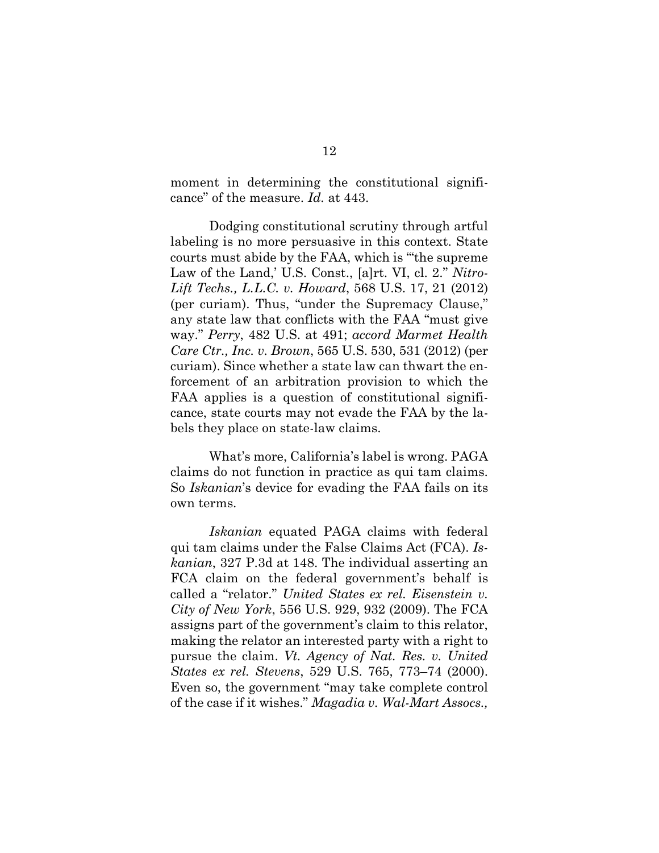<span id="page-21-6"></span>moment in determining the constitutional significance" of the measure. *Id.* at 443.

<span id="page-21-7"></span><span id="page-21-3"></span><span id="page-21-2"></span><span id="page-21-1"></span>Dodging constitutional scrutiny through artful labeling is no more persuasive in this context. State courts must abide by the FAA, which is "'the supreme Law of the Land,' U.S. Const., [a]rt. VI, cl. 2." *Nitro-Lift Techs., L.L.C. v. Howard*, 568 U.S. 17, 21 (2012) (per curiam). Thus, "under the Supremacy Clause," any state law that conflicts with the FAA "must give way." *Perry*, 482 U.S. at 491; *accord Marmet Health Care Ctr., Inc. v. Brown*, 565 U.S. 530, 531 (2012) (per curiam). Since whether a state law can thwart the enforcement of an arbitration provision to which the FAA applies is a question of constitutional significance, state courts may not evade the FAA by the labels they place on state-law claims.

What's more, California's label is wrong. PAGA claims do not function in practice as qui tam claims. So *Iskanian*'s device for evading the FAA fails on its own terms.

<span id="page-21-5"></span><span id="page-21-4"></span><span id="page-21-0"></span>*Iskanian* equated PAGA claims with federal qui tam claims under the False Claims Act (FCA). *Iskanian*, 327 P.3d at 148. The individual asserting an FCA claim on the federal government's behalf is called a "relator." *United States ex rel. Eisenstein v. City of New York*, 556 U.S. 929, 932 (2009). The FCA assigns part of the government's claim to this relator, making the relator an interested party with a right to pursue the claim. *Vt. Agency of Nat. Res. v. United States ex rel. Stevens*, 529 U.S. 765, 773–74 (2000). Even so, the government "may take complete control of the case if it wishes." *Magadia v. Wal-Mart Assocs.,*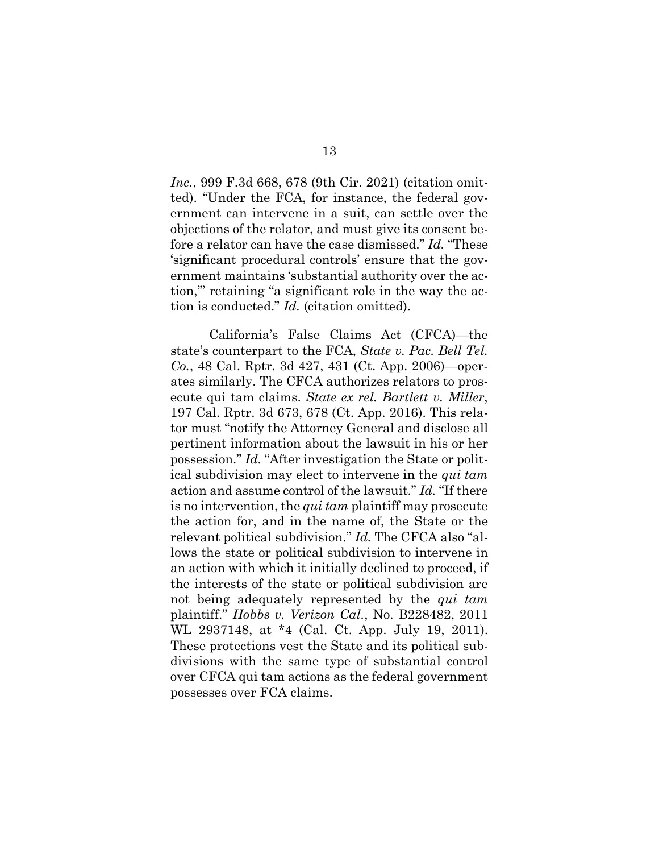*Inc.*, 999 F.3d 668, 678 (9th Cir. 2021) (citation omitted). "Under the FCA, for instance, the federal government can intervene in a suit, can settle over the objections of the relator, and must give its consent before a relator can have the case dismissed." *Id.* "These 'significant procedural controls' ensure that the government maintains 'substantial authority over the action,'" retaining "a significant role in the way the action is conducted." *Id.* (citation omitted).

<span id="page-22-2"></span><span id="page-22-1"></span><span id="page-22-0"></span>California's False Claims Act (CFCA)—the state's counterpart to the FCA, *State v. Pac. Bell Tel. Co.*, 48 Cal. Rptr. 3d 427, 431 (Ct. App. 2006)—operates similarly. The CFCA authorizes relators to prosecute qui tam claims. *State ex rel. Bartlett v. Miller*, 197 Cal. Rptr. 3d 673, 678 (Ct. App. 2016). This relator must "notify the Attorney General and disclose all pertinent information about the lawsuit in his or her possession." *Id.* "After investigation the State or political subdivision may elect to intervene in the *qui tam* action and assume control of the lawsuit." *Id.* "If there is no intervention, the *qui tam* plaintiff may prosecute the action for, and in the name of, the State or the relevant political subdivision." *Id.* The CFCA also "allows the state or political subdivision to intervene in an action with which it initially declined to proceed, if the interests of the state or political subdivision are not being adequately represented by the *qui tam* plaintiff." *Hobbs v. Verizon Cal.*, No. B228482, 2011 WL 2937148, at \*4 (Cal. Ct. App. July 19, 2011). These protections vest the State and its political subdivisions with the same type of substantial control over CFCA qui tam actions as the federal government possesses over FCA claims.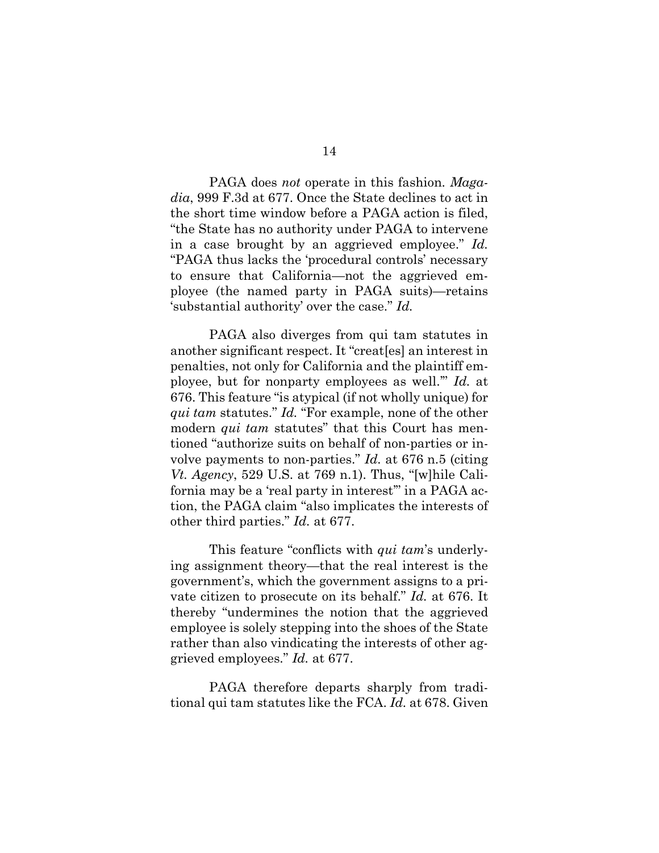<span id="page-23-0"></span>PAGA does *not* operate in this fashion. *Magadia*, 999 F.3d at 677. Once the State declines to act in the short time window before a PAGA action is filed, "the State has no authority under PAGA to intervene in a case brought by an aggrieved employee." *Id.* "PAGA thus lacks the 'procedural controls' necessary to ensure that California—not the aggrieved employee (the named party in PAGA suits)—retains 'substantial authority' over the case." *Id.*

PAGA also diverges from qui tam statutes in another significant respect. It "creat[es] an interest in penalties, not only for California and the plaintiff employee, but for nonparty employees as well.'" *Id.* at 676. This feature "is atypical (if not wholly unique) for *qui tam* statutes." *Id.* "For example, none of the other modern *qui tam* statutes" that this Court has mentioned "authorize suits on behalf of non-parties or involve payments to non-parties." *Id.* at 676 n.5 (citing *Vt. Agency*, 529 U.S. at 769 n.1). Thus, "[w]hile California may be a 'real party in interest'" in a PAGA action, the PAGA claim "also implicates the interests of other third parties." *Id.* at 677.

<span id="page-23-1"></span>This feature "conflicts with *qui tam*'s underlying assignment theory—that the real interest is the government's, which the government assigns to a private citizen to prosecute on its behalf." *Id.* at 676. It thereby "undermines the notion that the aggrieved employee is solely stepping into the shoes of the State rather than also vindicating the interests of other aggrieved employees." *Id.* at 677.

PAGA therefore departs sharply from traditional qui tam statutes like the FCA. *Id.* at 678. Given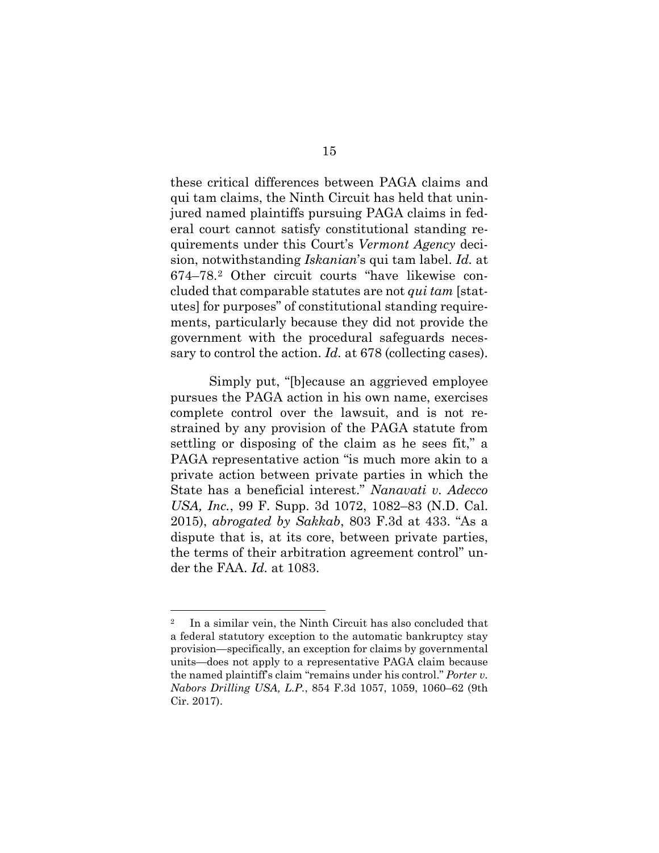<span id="page-24-3"></span><span id="page-24-0"></span>these critical differences between PAGA claims and qui tam claims, the Ninth Circuit has held that uninjured named plaintiffs pursuing PAGA claims in federal court cannot satisfy constitutional standing requirements under this Court's *Vermont Agency* decision, notwithstanding *Iskanian*'s qui tam label. *Id.* at 674–78.[2](#page-24-4) Other circuit courts "have likewise concluded that comparable statutes are not *qui tam* [statutes] for purposes" of constitutional standing requirements, particularly because they did not provide the government with the procedural safeguards necessary to control the action. *Id.* at 678 (collecting cases).

<span id="page-24-1"></span>Simply put, "[b]ecause an aggrieved employee pursues the PAGA action in his own name, exercises complete control over the lawsuit, and is not restrained by any provision of the PAGA statute from settling or disposing of the claim as he sees fit," a PAGA representative action "is much more akin to a private action between private parties in which the State has a beneficial interest." *Nanavati v. Adecco USA, Inc.*, 99 F. Supp. 3d 1072, 1082–83 (N.D. Cal. 2015), *abrogated by Sakkab*, 803 F.3d at 433. "As a dispute that is, at its core, between private parties, the terms of their arbitration agreement control" under the FAA. *Id.* at 1083.

<span id="page-24-4"></span><span id="page-24-2"></span><sup>2</sup> In a similar vein, the Ninth Circuit has also concluded that a federal statutory exception to the automatic bankruptcy stay provision—specifically, an exception for claims by governmental units—does not apply to a representative PAGA claim because the named plaintiff's claim "remains under his control." *Porter v. Nabors Drilling USA, L.P.*, 854 F.3d 1057, 1059, 1060–62 (9th Cir. 2017).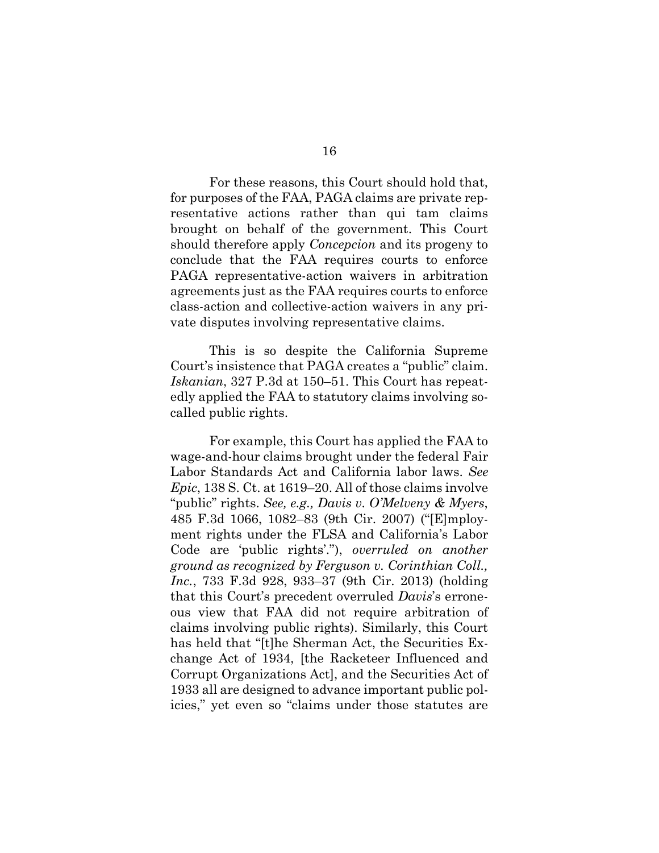For these reasons, this Court should hold that, for purposes of the FAA, PAGA claims are private representative actions rather than qui tam claims brought on behalf of the government. This Court should therefore apply *Concepcion* and its progeny to conclude that the FAA requires courts to enforce PAGA representative-action waivers in arbitration agreements just as the FAA requires courts to enforce class-action and collective-action waivers in any private disputes involving representative claims.

This is so despite the California Supreme Court's insistence that PAGA creates a "public" claim. *Iskanian*, 327 P.3d at 150–51. This Court has repeatedly applied the FAA to statutory claims involving socalled public rights.

<span id="page-25-0"></span>For example, this Court has applied the FAA to wage-and-hour claims brought under the federal Fair Labor Standards Act and California labor laws. *See Epic*, 138 S. Ct. at 1619–20. All of those claims involve "public" rights. *See, e.g., Davis v. O'Melveny & Myers*, 485 F.3d 1066, 1082–83 (9th Cir. 2007) ("[E]mployment rights under the FLSA and California's Labor Code are 'public rights'."), *overruled on another ground as recognized by Ferguson v. Corinthian Coll., Inc.*, 733 F.3d 928, 933–37 (9th Cir. 2013) (holding that this Court's precedent overruled *Davis*'s erroneous view that FAA did not require arbitration of claims involving public rights). Similarly, this Court has held that "[t]he Sherman Act, the Securities Exchange Act of 1934, [the Racketeer Influenced and Corrupt Organizations Act], and the Securities Act of 1933 all are designed to advance important public policies," yet even so "claims under those statutes are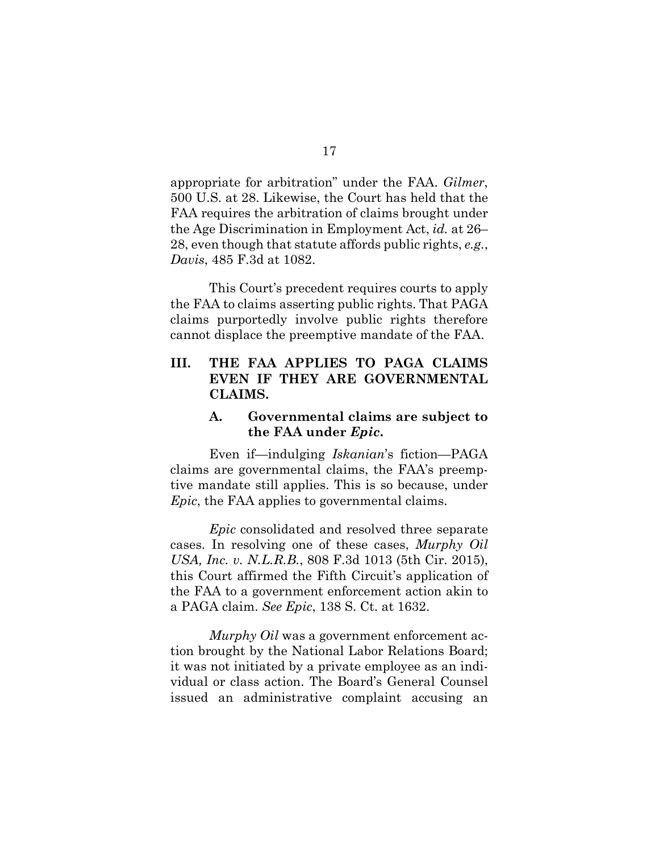<span id="page-26-1"></span>appropriate for arbitration" under the FAA. *Gilmer*, 500 U.S. at 28. Likewise, the Court has held that the FAA requires the arbitration of claims brought under the Age Discrimination in Employment Act, *id.* at 26– 28, even though that statute affords public rights, *e.g.*, *Davis*, 485 F.3d at 1082.

<span id="page-26-0"></span>This Court's precedent requires courts to apply the FAA to claims asserting public rights. That PAGA claims purportedly involve public rights therefore cannot displace the preemptive mandate of the FAA.

## **III. THE FAA APPLIES TO PAGA CLAIMS EVEN IF THEY ARE GOVERNMENTAL CLAIMS.**

### <span id="page-26-2"></span>**A. Governmental claims are subject to the FAA under** *Epic***.**

Even if—indulging *Iskanian*'s fiction—PAGA claims are governmental claims, the FAA's preemptive mandate still applies. This is so because, under *Epic*, the FAA applies to governmental claims.

*Epic* consolidated and resolved three separate cases. In resolving one of these cases, *Murphy Oil USA, Inc. v. N.L.R.B.*, 808 F.3d 1013 (5th Cir. 2015), this Court affirmed the Fifth Circuit's application of the FAA to a government enforcement action akin to a PAGA claim. *See Epic*, 138 S. Ct. at 1632.

*Murphy Oil* was a government enforcement action brought by the National Labor Relations Board; it was not initiated by a private employee as an individual or class action. The Board's General Counsel issued an administrative complaint accusing an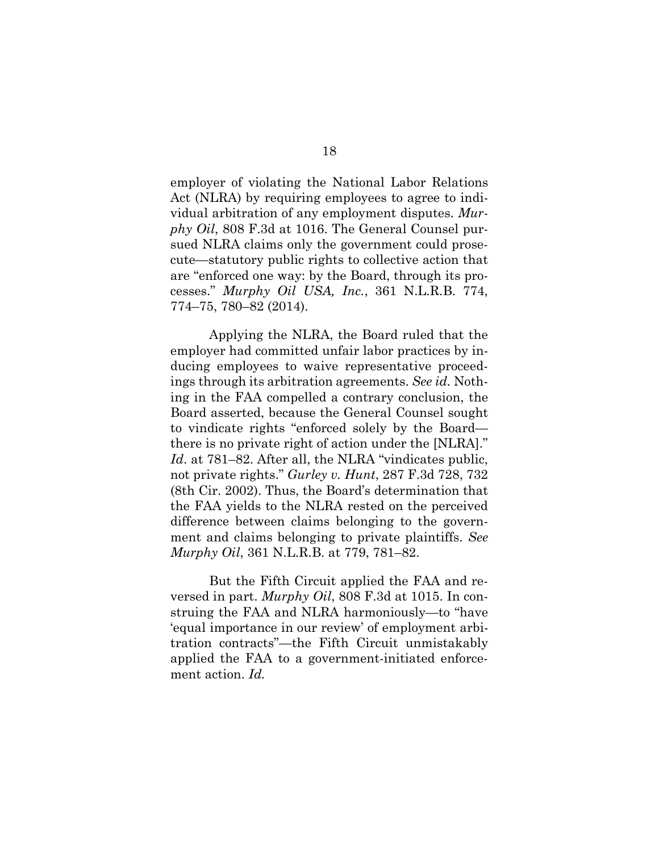<span id="page-27-2"></span>employer of violating the National Labor Relations Act (NLRA) by requiring employees to agree to individual arbitration of any employment disputes. *Murphy Oil*, 808 F.3d at 1016. The General Counsel pursued NLRA claims only the government could prosecute—statutory public rights to collective action that are "enforced one way: by the Board, through its processes." *Murphy Oil USA, Inc.*, 361 N.L.R.B. 774, 774–75, 780–82 (2014).

<span id="page-27-1"></span>Applying the NLRA, the Board ruled that the employer had committed unfair labor practices by inducing employees to waive representative proceedings through its arbitration agreements. *See id.* Nothing in the FAA compelled a contrary conclusion, the Board asserted, because the General Counsel sought to vindicate rights "enforced solely by the Board there is no private right of action under the [NLRA]." *Id.* at 781–82. After all, the NLRA "vindicates public, not private rights." *Gurley v. Hunt*, 287 F.3d 728, 732 (8th Cir. 2002). Thus, the Board's determination that the FAA yields to the NLRA rested on the perceived difference between claims belonging to the government and claims belonging to private plaintiffs. *See Murphy Oil*, 361 N.L.R.B. at 779, 781–82.

<span id="page-27-0"></span>But the Fifth Circuit applied the FAA and reversed in part. *Murphy Oil*, 808 F.3d at 1015. In construing the FAA and NLRA harmoniously—to "have 'equal importance in our review' of employment arbitration contracts"—the Fifth Circuit unmistakably applied the FAA to a government-initiated enforcement action. *Id.*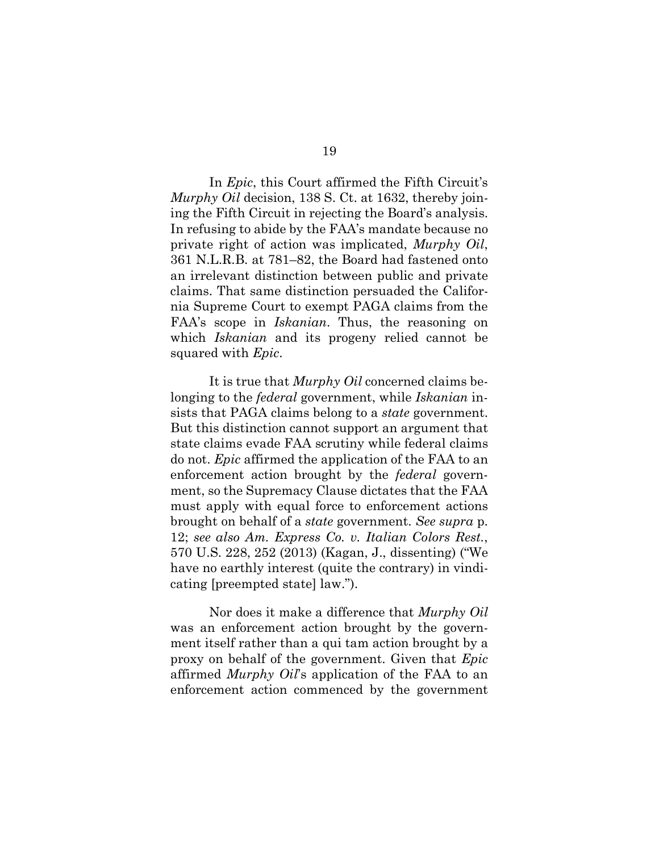<span id="page-28-2"></span><span id="page-28-1"></span>In *Epic*, this Court affirmed the Fifth Circuit's *Murphy Oil* decision, 138 S. Ct. at 1632, thereby joining the Fifth Circuit in rejecting the Board's analysis. In refusing to abide by the FAA's mandate because no private right of action was implicated, *Murphy Oil*, 361 N.L.R.B. at 781–82, the Board had fastened onto an irrelevant distinction between public and private claims. That same distinction persuaded the California Supreme Court to exempt PAGA claims from the FAA's scope in *Iskanian*. Thus, the reasoning on which *Iskanian* and its progeny relied cannot be squared with *Epic*.

It is true that *Murphy Oil* concerned claims belonging to the *federal* government, while *Iskanian* insists that PAGA claims belong to a *state* government. But this distinction cannot support an argument that state claims evade FAA scrutiny while federal claims do not. *Epic* affirmed the application of the FAA to an enforcement action brought by the *federal* government, so the Supremacy Clause dictates that the FAA must apply with equal force to enforcement actions brought on behalf of a *state* government. *See supra* p. 12; *see also Am. Express Co. v. Italian Colors Rest.*, 570 U.S. 228, 252 (2013) (Kagan, J., dissenting) ("We have no earthly interest (quite the contrary) in vindicating [preempted state] law.").

<span id="page-28-0"></span>Nor does it make a difference that *Murphy Oil* was an enforcement action brought by the government itself rather than a qui tam action brought by a proxy on behalf of the government. Given that *Epic* affirmed *Murphy Oil*'s application of the FAA to an enforcement action commenced by the government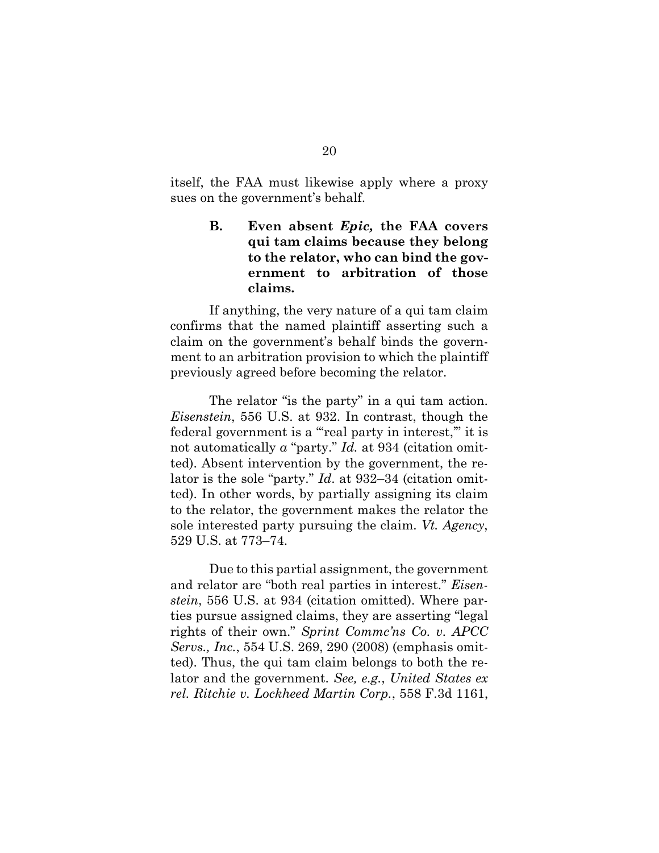itself, the FAA must likewise apply where a proxy sues on the government's behalf.

## **B. Even absent** *Epic,* **the FAA covers qui tam claims because they belong to the relator, who can bind the government to arbitration of those claims.**

If anything, the very nature of a qui tam claim confirms that the named plaintiff asserting such a claim on the government's behalf binds the government to an arbitration provision to which the plaintiff previously agreed before becoming the relator.

<span id="page-29-1"></span>The relator "is the party" in a qui tam action. *Eisenstein*, 556 U.S. at 932. In contrast, though the federal government is a "'real party in interest,'" it is not automatically *a* "party." *Id.* at 934 (citation omitted). Absent intervention by the government, the relator is the sole "party." *Id*. at 932–34 (citation omitted). In other words, by partially assigning its claim to the relator, the government makes the relator the sole interested party pursuing the claim. *Vt. Agency*, 529 U.S. at 773–74.

<span id="page-29-3"></span><span id="page-29-2"></span><span id="page-29-0"></span>Due to this partial assignment, the government and relator are "both real parties in interest." *Eisenstein*, 556 U.S. at 934 (citation omitted). Where parties pursue assigned claims, they are asserting "legal rights of their own." *Sprint Commc'ns Co. v. APCC Servs., Inc.*, 554 U.S. 269, 290 (2008) (emphasis omitted). Thus, the qui tam claim belongs to both the relator and the government. *See, e.g.*, *United States ex rel. Ritchie v. Lockheed Martin Corp.*, 558 F.3d 1161,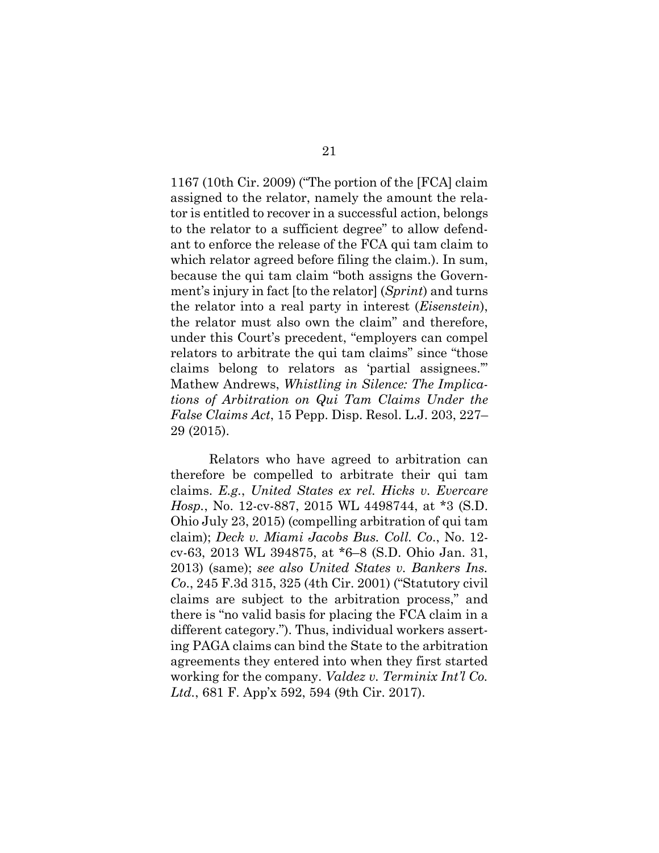<span id="page-30-2"></span><span id="page-30-1"></span>1167 (10th Cir. 2009) ("The portion of the [FCA] claim assigned to the relator, namely the amount the relator is entitled to recover in a successful action, belongs to the relator to a sufficient degree" to allow defendant to enforce the release of the FCA qui tam claim to which relator agreed before filing the claim.). In sum, because the qui tam claim "both assigns the Government's injury in fact [to the relator] (*Sprint*) and turns the relator into a real party in interest (*Eisenstein*), the relator must also own the claim" and therefore, under this Court's precedent, "employers can compel relators to arbitrate the qui tam claims" since "those claims belong to relators as 'partial assignees.'" Mathew Andrews, *Whistling in Silence: The Implications of Arbitration on Qui Tam Claims Under the False Claims Act*, 15 Pepp. Disp. Resol. L.J. 203, 227– 29 (2015).

<span id="page-30-6"></span><span id="page-30-5"></span><span id="page-30-4"></span><span id="page-30-3"></span><span id="page-30-0"></span>Relators who have agreed to arbitration can therefore be compelled to arbitrate their qui tam claims. *E.g.*, *United States ex rel. Hicks v. Evercare Hosp.*, No. 12-cv-887, 2015 WL 4498744, at \*3 (S.D. Ohio July 23, 2015) (compelling arbitration of qui tam claim); *Deck v. Miami Jacobs Bus. Coll. Co*., No. 12 cv-63, 2013 WL 394875, at \*6–8 (S.D. Ohio Jan. 31, 2013) (same); *see also United States v. Bankers Ins. Co*., 245 F.3d 315, 325 (4th Cir. 2001) ("Statutory civil claims are subject to the arbitration process," and there is "no valid basis for placing the FCA claim in a different category."). Thus, individual workers asserting PAGA claims can bind the State to the arbitration agreements they entered into when they first started working for the company. *Valdez v. Terminix Int'l Co. Ltd.*, 681 F. App'x 592, 594 (9th Cir. 2017).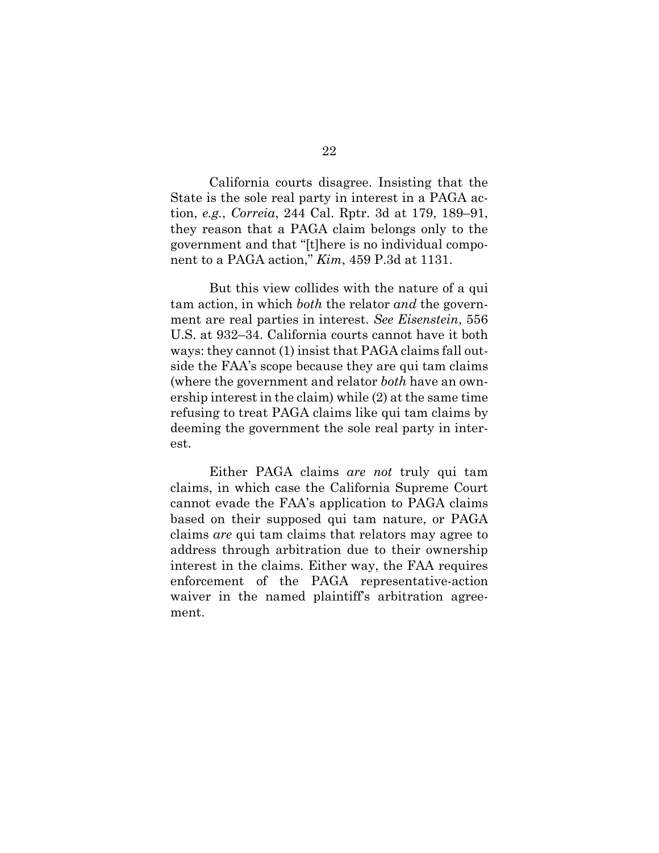<span id="page-31-0"></span>California courts disagree. Insisting that the State is the sole real party in interest in a PAGA action, *e.g.*, *Correia*, 244 Cal. Rptr. 3d at 179, 189–91, they reason that a PAGA claim belongs only to the government and that "[t]here is no individual component to a PAGA action," *Kim*, 459 P.3d at 1131.

<span id="page-31-2"></span><span id="page-31-1"></span>But this view collides with the nature of a qui tam action, in which *both* the relator *and* the government are real parties in interest. *See Eisenstein*, 556 U.S. at 932–34. California courts cannot have it both ways: they cannot (1) insist that PAGA claims fall outside the FAA's scope because they are qui tam claims (where the government and relator *both* have an ownership interest in the claim) while (2) at the same time refusing to treat PAGA claims like qui tam claims by deeming the government the sole real party in interest.

Either PAGA claims *are not* truly qui tam claims, in which case the California Supreme Court cannot evade the FAA's application to PAGA claims based on their supposed qui tam nature, or PAGA claims *are* qui tam claims that relators may agree to address through arbitration due to their ownership interest in the claims. Either way, the FAA requires enforcement of the PAGA representative-action waiver in the named plaintiff's arbitration agreement.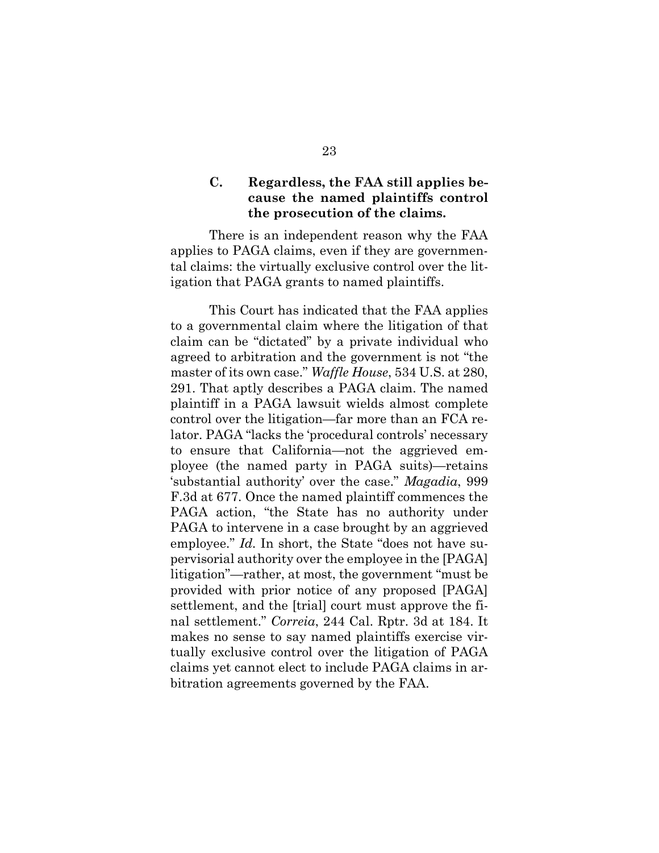### **C. Regardless, the FAA still applies because the named plaintiffs control the prosecution of the claims.**

There is an independent reason why the FAA applies to PAGA claims, even if they are governmental claims: the virtually exclusive control over the litigation that PAGA grants to named plaintiffs.

<span id="page-32-2"></span><span id="page-32-1"></span><span id="page-32-0"></span>This Court has indicated that the FAA applies to a governmental claim where the litigation of that claim can be "dictated" by a private individual who agreed to arbitration and the government is not "the master of its own case." *Waffle House*, 534 U.S. at 280, 291. That aptly describes a PAGA claim. The named plaintiff in a PAGA lawsuit wields almost complete control over the litigation—far more than an FCA relator. PAGA "lacks the 'procedural controls' necessary to ensure that California—not the aggrieved employee (the named party in PAGA suits)—retains 'substantial authority' over the case." *Magadia*, 999 F.3d at 677. Once the named plaintiff commences the PAGA action, "the State has no authority under PAGA to intervene in a case brought by an aggrieved employee." *Id.* In short, the State "does not have supervisorial authority over the employee in the [PAGA] litigation"—rather, at most, the government "must be provided with prior notice of any proposed [PAGA] settlement, and the [trial] court must approve the final settlement." *Correia*, 244 Cal. Rptr. 3d at 184. It makes no sense to say named plaintiffs exercise virtually exclusive control over the litigation of PAGA claims yet cannot elect to include PAGA claims in arbitration agreements governed by the FAA.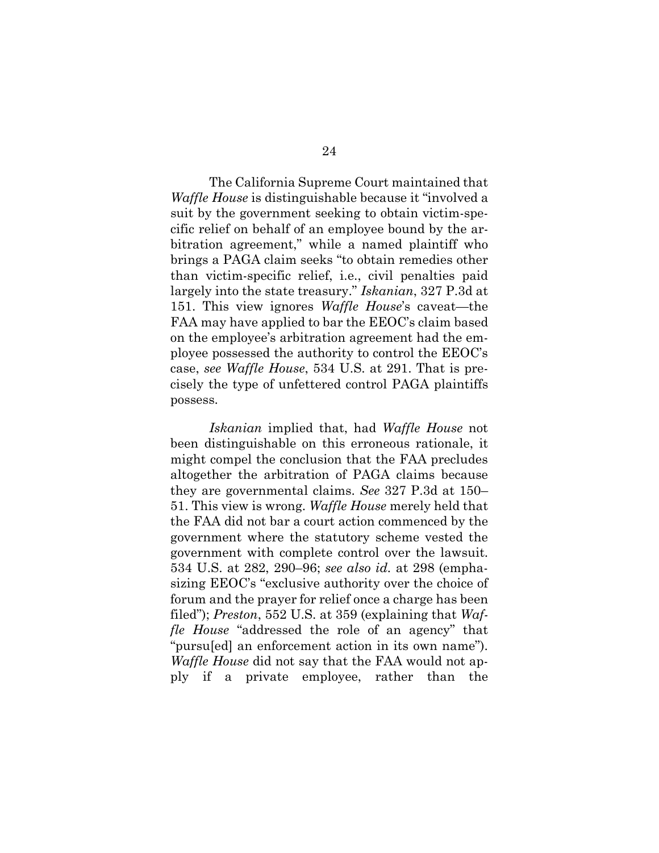<span id="page-33-0"></span>The California Supreme Court maintained that *Waffle House* is distinguishable because it "involved a suit by the government seeking to obtain victim-specific relief on behalf of an employee bound by the arbitration agreement," while a named plaintiff who brings a PAGA claim seeks "to obtain remedies other than victim-specific relief, i.e., civil penalties paid largely into the state treasury." *Iskanian*, 327 P.3d at 151. This view ignores *Waffle House*'s caveat—the FAA may have applied to bar the EEOC's claim based on the employee's arbitration agreement had the employee possessed the authority to control the EEOC's case, *see Waffle House*, 534 U.S. at 291. That is precisely the type of unfettered control PAGA plaintiffs possess.

<span id="page-33-1"></span>*Iskanian* implied that, had *Waffle House* not been distinguishable on this erroneous rationale, it might compel the conclusion that the FAA precludes altogether the arbitration of PAGA claims because they are governmental claims. *See* 327 P.3d at 150– 51. This view is wrong. *Waffle House* merely held that the FAA did not bar a court action commenced by the government where the statutory scheme vested the government with complete control over the lawsuit. 534 U.S. at 282, 290–96; *see also id.* at 298 (emphasizing EEOC's "exclusive authority over the choice of forum and the prayer for relief once a charge has been filed"); *Preston*, 552 U.S. at 359 (explaining that *Waffle House* "addressed the role of an agency" that "pursu[ed] an enforcement action in its own name"). *Waffle House* did not say that the FAA would not apply if a private employee, rather than the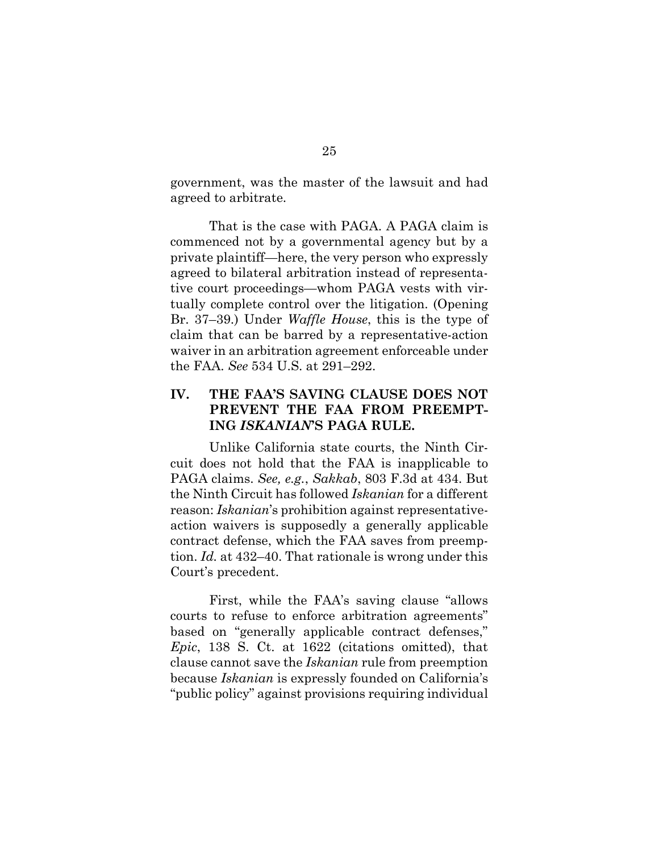government, was the master of the lawsuit and had agreed to arbitrate.

That is the case with PAGA. A PAGA claim is commenced not by a governmental agency but by a private plaintiff—here, the very person who expressly agreed to bilateral arbitration instead of representative court proceedings—whom PAGA vests with virtually complete control over the litigation. (Opening Br. 37–39.) Under *Waffle House*, this is the type of claim that can be barred by a representative-action waiver in an arbitration agreement enforceable under the FAA. *See* 534 U.S. at 291–292.

## <span id="page-34-0"></span>**IV. THE FAA'S SAVING CLAUSE DOES NOT PREVENT THE FAA FROM PREEMPT-ING** *ISKANIAN***'S PAGA RULE.**

Unlike California state courts, the Ninth Circuit does not hold that the FAA is inapplicable to PAGA claims. *See, e.g.*, *Sakkab*, 803 F.3d at 434. But the Ninth Circuit has followed *Iskanian* for a different reason: *Iskanian*'s prohibition against representativeaction waivers is supposedly a generally applicable contract defense, which the FAA saves from preemption. *Id.* at 432–40. That rationale is wrong under this Court's precedent.

First, while the FAA's saving clause "allows courts to refuse to enforce arbitration agreements" based on "generally applicable contract defenses," *Epic*, 138 S. Ct. at 1622 (citations omitted), that clause cannot save the *Iskanian* rule from preemption because *Iskanian* is expressly founded on California's "public policy" against provisions requiring individual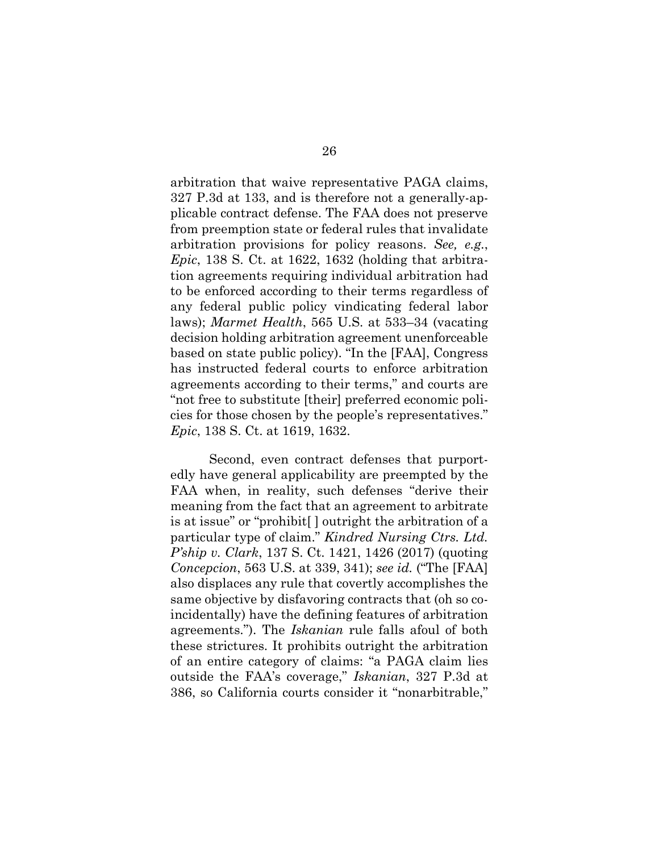<span id="page-35-1"></span>arbitration that waive representative PAGA claims, 327 P.3d at 133, and is therefore not a generally-applicable contract defense. The FAA does not preserve from preemption state or federal rules that invalidate arbitration provisions for policy reasons. *See, e.g.*, *Epic*, 138 S. Ct. at 1622, 1632 (holding that arbitration agreements requiring individual arbitration had to be enforced according to their terms regardless of any federal public policy vindicating federal labor laws); *Marmet Health*, 565 U.S. at 533–34 (vacating decision holding arbitration agreement unenforceable based on state public policy). "In the [FAA], Congress has instructed federal courts to enforce arbitration agreements according to their terms," and courts are "not free to substitute [their] preferred economic policies for those chosen by the people's representatives." *Epic*, 138 S. Ct. at 1619, 1632.

<span id="page-35-0"></span>Second, even contract defenses that purportedly have general applicability are preempted by the FAA when, in reality, such defenses "derive their meaning from the fact that an agreement to arbitrate is at issue" or "prohibit[ ] outright the arbitration of a particular type of claim." *Kindred Nursing Ctrs. Ltd. P'ship v. Clark*, 137 S. Ct. 1421, 1426 (2017) (quoting *Concepcion*, 563 U.S. at 339, 341); *see id.* ("The [FAA] also displaces any rule that covertly accomplishes the same objective by disfavoring contracts that (oh so coincidentally) have the defining features of arbitration agreements."). The *Iskanian* rule falls afoul of both these strictures. It prohibits outright the arbitration of an entire category of claims: "a PAGA claim lies outside the FAA's coverage," *Iskanian*, 327 P.3d at 386, so California courts consider it "nonarbitrable,"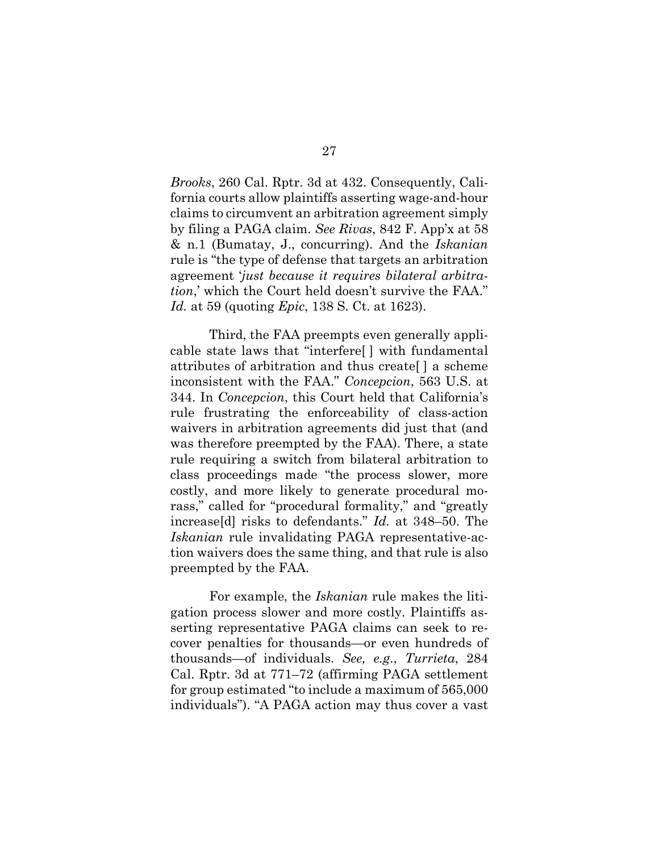<span id="page-36-1"></span><span id="page-36-0"></span>*Brooks*, 260 Cal. Rptr. 3d at 432. Consequently, California courts allow plaintiffs asserting wage-and-hour claims to circumvent an arbitration agreement simply by filing a PAGA claim. *See Rivas*, 842 F. App'x at 58 & n.1 (Bumatay, J., concurring). And the *Iskanian* rule is "the type of defense that targets an arbitration agreement '*just because it requires bilateral arbitration*,' which the Court held doesn't survive the FAA." *Id.* at 59 (quoting *Epic*, 138 S. Ct. at 1623).

Third, the FAA preempts even generally applicable state laws that "interfere[ ] with fundamental attributes of arbitration and thus create[ ] a scheme inconsistent with the FAA." *Concepcion*, 563 U.S. at 344. In *Concepcion*, this Court held that California's rule frustrating the enforceability of class-action waivers in arbitration agreements did just that (and was therefore preempted by the FAA). There, a state rule requiring a switch from bilateral arbitration to class proceedings made "the process slower, more costly, and more likely to generate procedural morass," called for "procedural formality," and "greatly increase[d] risks to defendants." *Id.* at 348–50. The *Iskanian* rule invalidating PAGA representative-action waivers does the same thing, and that rule is also preempted by the FAA.

<span id="page-36-2"></span>For example, the *Iskanian* rule makes the litigation process slower and more costly. Plaintiffs asserting representative PAGA claims can seek to recover penalties for thousands—or even hundreds of thousands—of individuals. *See, e.g*., *Turrieta*, 284 Cal. Rptr. 3d at 771–72 (affirming PAGA settlement for group estimated "to include a maximum of 565,000 individuals"). "A PAGA action may thus cover a vast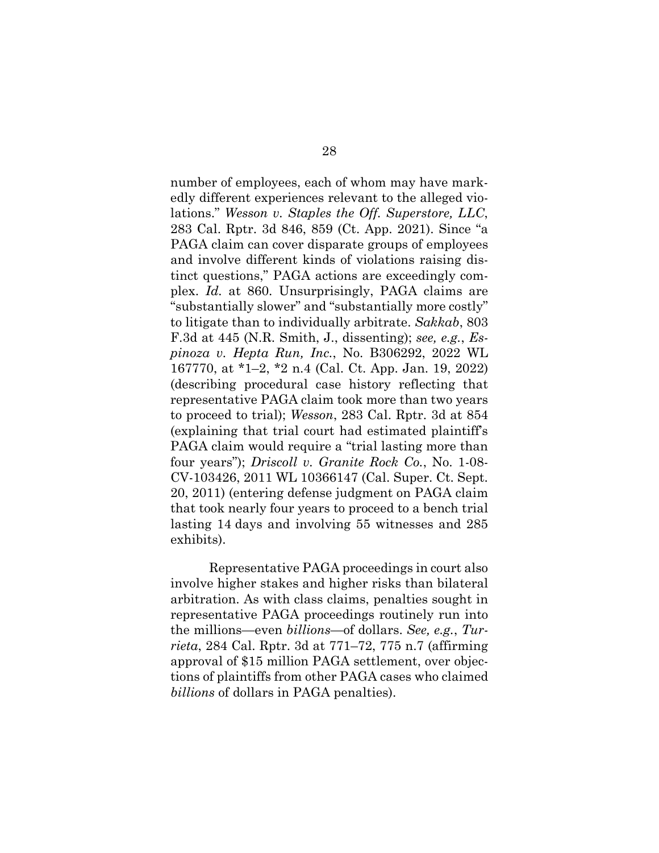<span id="page-37-3"></span><span id="page-37-1"></span>number of employees, each of whom may have markedly different experiences relevant to the alleged violations." *Wesson v. Staples the Off. Superstore, LLC*, 283 Cal. Rptr. 3d 846, 859 (Ct. App. 2021). Since "a PAGA claim can cover disparate groups of employees and involve different kinds of violations raising distinct questions," PAGA actions are exceedingly complex. *Id.* at 860. Unsurprisingly, PAGA claims are "substantially slower" and "substantially more costly" to litigate than to individually arbitrate. *Sakkab*, 803 F.3d at 445 (N.R. Smith, J., dissenting); *see, e.g.*, *Espinoza v. Hepta Run, Inc.*, No. B306292, 2022 WL 167770, at \*1–2, \*2 n.4 (Cal. Ct. App. Jan. 19, 2022) (describing procedural case history reflecting that representative PAGA claim took more than two years to proceed to trial); *Wesson*, 283 Cal. Rptr. 3d at 854 (explaining that trial court had estimated plaintiff's PAGA claim would require a "trial lasting more than four years"); *Driscoll v. Granite Rock Co.*, No. 1-08- CV-103426, 2011 WL 10366147 (Cal. Super. Ct. Sept. 20, 2011) (entering defense judgment on PAGA claim that took nearly four years to proceed to a bench trial lasting 14 days and involving 55 witnesses and 285 exhibits).

<span id="page-37-2"></span><span id="page-37-0"></span>Representative PAGA proceedings in court also involve higher stakes and higher risks than bilateral arbitration. As with class claims, penalties sought in representative PAGA proceedings routinely run into the millions—even *billions*—of dollars. *See, e.g.*, *Turrieta*, 284 Cal. Rptr. 3d at 771–72, 775 n.7 (affirming approval of \$15 million PAGA settlement, over objections of plaintiffs from other PAGA cases who claimed *billions* of dollars in PAGA penalties).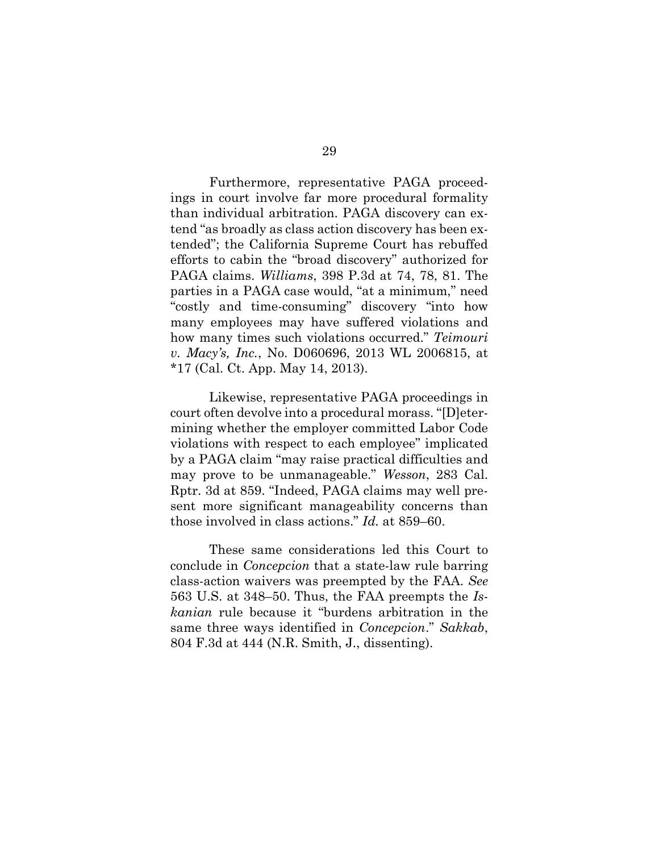<span id="page-38-2"></span>Furthermore, representative PAGA proceedings in court involve far more procedural formality than individual arbitration. PAGA discovery can extend "as broadly as class action discovery has been extended"; the California Supreme Court has rebuffed efforts to cabin the "broad discovery" authorized for PAGA claims. *Williams*, 398 P.3d at 74, 78, 81. The parties in a PAGA case would, "at a minimum," need "costly and time-consuming" discovery "into how many employees may have suffered violations and how many times such violations occurred." *Teimouri v. Macy's, Inc.*, No. D060696, 2013 WL 2006815, at \*17 (Cal. Ct. App. May 14, 2013).

<span id="page-38-1"></span><span id="page-38-0"></span>Likewise, representative PAGA proceedings in court often devolve into a procedural morass. "[D]etermining whether the employer committed Labor Code violations with respect to each employee" implicated by a PAGA claim "may raise practical difficulties and may prove to be unmanageable." *Wesson*, 283 Cal. Rptr. 3d at 859. "Indeed, PAGA claims may well present more significant manageability concerns than those involved in class actions." *Id.* at 859–60.

These same considerations led this Court to conclude in *Concepcion* that a state-law rule barring class-action waivers was preempted by the FAA. *See* 563 U.S. at 348–50. Thus, the FAA preempts the *Iskanian* rule because it "burdens arbitration in the same three ways identified in *Concepcion*." *Sakkab*, 804 F.3d at 444 (N.R. Smith, J., dissenting).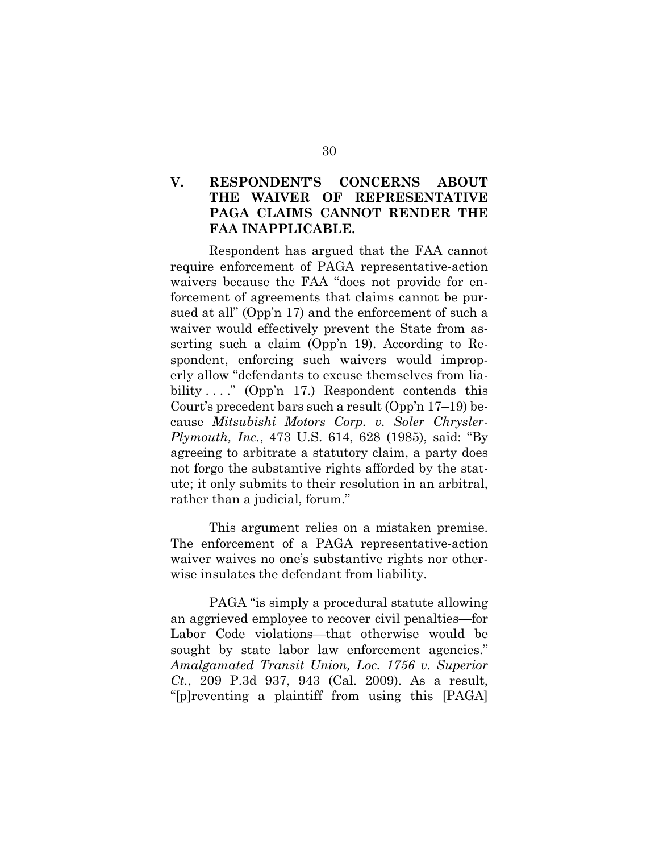## **V. RESPONDENT'S CONCERNS ABOUT THE WAIVER OF REPRESENTATIVE PAGA CLAIMS CANNOT RENDER THE FAA INAPPLICABLE.**

Respondent has argued that the FAA cannot require enforcement of PAGA representative-action waivers because the FAA "does not provide for enforcement of agreements that claims cannot be pursued at all" (Opp'n 17) and the enforcement of such a waiver would effectively prevent the State from asserting such a claim (Opp'n 19). According to Respondent, enforcing such waivers would improperly allow "defendants to excuse themselves from liability  $\dots$ ." (Opp'n 17.) Respondent contends this Court's precedent bars such a result (Opp'n 17–19) because *Mitsubishi Motors Corp. v. Soler Chrysler-Plymouth, Inc.*, 473 U.S. 614, 628 (1985), said: "By agreeing to arbitrate a statutory claim, a party does not forgo the substantive rights afforded by the statute; it only submits to their resolution in an arbitral, rather than a judicial, forum."

<span id="page-39-1"></span>This argument relies on a mistaken premise. The enforcement of a PAGA representative-action waiver waives no one's substantive rights nor otherwise insulates the defendant from liability.

<span id="page-39-0"></span>PAGA "is simply a procedural statute allowing an aggrieved employee to recover civil penalties—for Labor Code violations—that otherwise would be sought by state labor law enforcement agencies." *Amalgamated Transit Union, Loc. 1756 v. Superior Ct.*, 209 P.3d 937, 943 (Cal. 2009). As a result, "[p]reventing a plaintiff from using this [PAGA]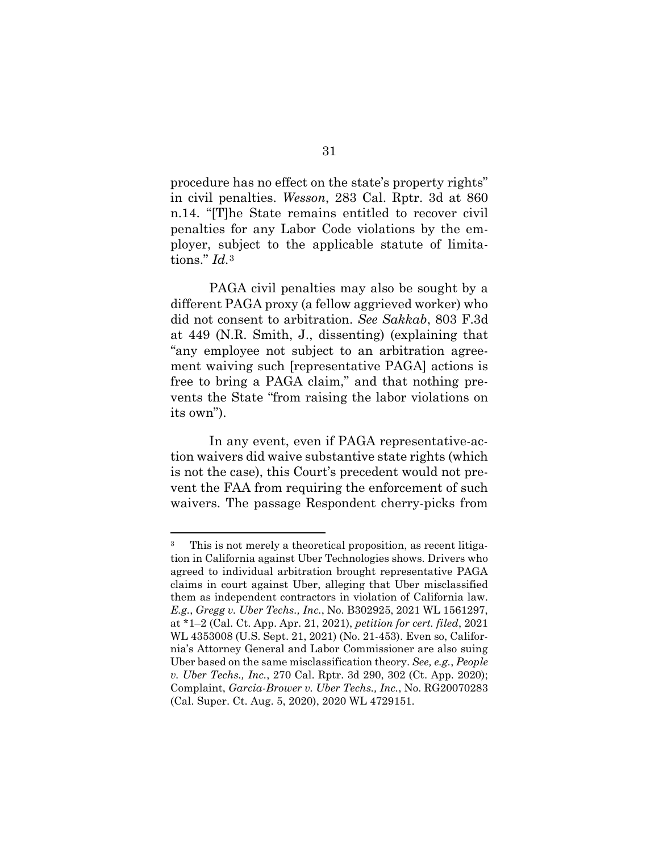<span id="page-40-2"></span>procedure has no effect on the state's property rights" in civil penalties. *Wesson*, 283 Cal. Rptr. 3d at 860 n.14. "[T]he State remains entitled to recover civil penalties for any Labor Code violations by the employer, subject to the applicable statute of limitations." *Id.*[3](#page-40-3) 

PAGA civil penalties may also be sought by a different PAGA proxy (a fellow aggrieved worker) who did not consent to arbitration. *See Sakkab*, 803 F.3d at 449 (N.R. Smith, J., dissenting) (explaining that "any employee not subject to an arbitration agreement waiving such [representative PAGA] actions is free to bring a PAGA claim," and that nothing prevents the State "from raising the labor violations on its own").

In any event, even if PAGA representative-action waivers did waive substantive state rights (which is not the case), this Court's precedent would not prevent the FAA from requiring the enforcement of such waivers. The passage Respondent cherry-picks from

<span id="page-40-3"></span><span id="page-40-1"></span><span id="page-40-0"></span><sup>3</sup> This is not merely a theoretical proposition, as recent litigation in California against Uber Technologies shows. Drivers who agreed to individual arbitration brought representative PAGA claims in court against Uber, alleging that Uber misclassified them as independent contractors in violation of California law. *E.g.*, *Gregg v. Uber Techs., Inc.*, No. B302925, 2021 WL 1561297, at \*1–2 (Cal. Ct. App. Apr. 21, 2021), *petition for cert. filed*, 2021 WL 4353008 (U.S. Sept. 21, 2021) (No. 21-453). Even so, California's Attorney General and Labor Commissioner are also suing Uber based on the same misclassification theory. *See, e.g.*, *People v. Uber Techs., Inc.*, 270 Cal. Rptr. 3d 290, 302 (Ct. App. 2020); Complaint, *Garcia-Brower v. Uber Techs., Inc.*, No. RG20070283 (Cal. Super. Ct. Aug. 5, 2020), 2020 WL 4729151.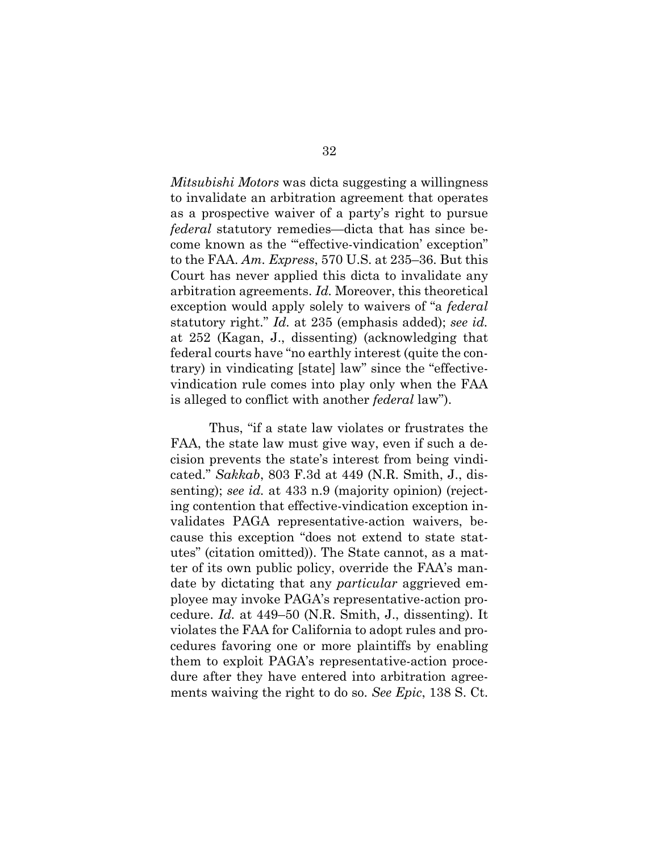<span id="page-41-1"></span><span id="page-41-0"></span>*Mitsubishi Motors* was dicta suggesting a willingness to invalidate an arbitration agreement that operates as a prospective waiver of a party's right to pursue *federal* statutory remedies—dicta that has since become known as the "'effective-vindication' exception" to the FAA. *Am. Express*, 570 U.S. at 235–36. But this Court has never applied this dicta to invalidate any arbitration agreements. *Id.* Moreover, this theoretical exception would apply solely to waivers of "a *federal* statutory right." *Id.* at 235 (emphasis added); *see id.* at 252 (Kagan, J., dissenting) (acknowledging that federal courts have "no earthly interest (quite the contrary) in vindicating [state] law" since the "effectivevindication rule comes into play only when the FAA is alleged to conflict with another *federal* law").

Thus, "if a state law violates or frustrates the FAA, the state law must give way, even if such a decision prevents the state's interest from being vindicated." *Sakkab*, 803 F.3d at 449 (N.R. Smith, J., dissenting); *see id.* at 433 n.9 (majority opinion) (rejecting contention that effective-vindication exception invalidates PAGA representative-action waivers, because this exception "does not extend to state statutes" (citation omitted)). The State cannot, as a matter of its own public policy, override the FAA's mandate by dictating that any *particular* aggrieved employee may invoke PAGA's representative-action procedure. *Id.* at 449–50 (N.R. Smith, J., dissenting). It violates the FAA for California to adopt rules and procedures favoring one or more plaintiffs by enabling them to exploit PAGA's representative-action procedure after they have entered into arbitration agreements waiving the right to do so. *See Epic*, 138 S. Ct.